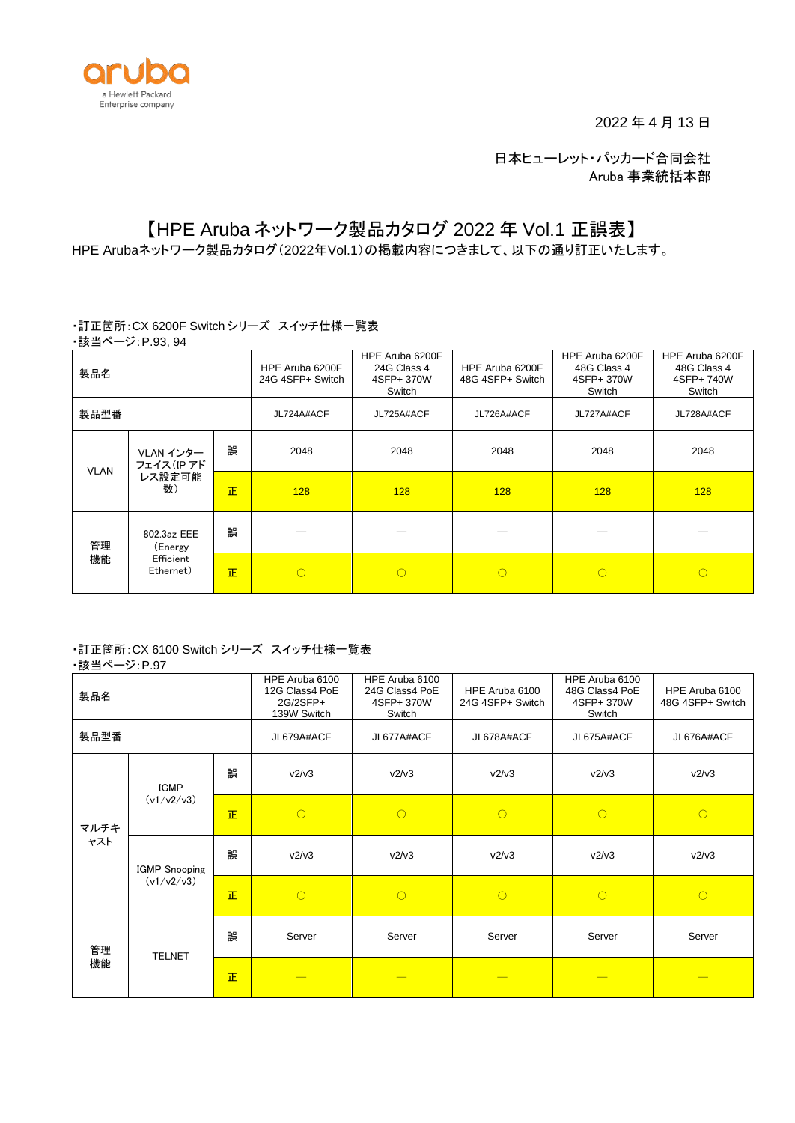

2022 年 4 月 13 日

日本ヒューレット・パッカード合同会社 Aruba 事業統括本部

# 【HPE Aruba ネットワーク製品カタログ 2022 年 Vol.1 正誤表】

HPE Arubaネットワーク製品カタログ(2022年Vol.1)の掲載内容につきまして、以下の通り訂正いたします。

#### ・訂正箇所:CX 6200F Switch シリーズ スイッチ仕様一覧表 ・該当ページ:P.93, 94

| -∽—<br>製品名                                                   |   |      | HPE Aruba 6200F<br>24G 4SFP+ Switch | HPE Aruba 6200F<br>24G Class 4<br>4SFP+ 370W<br>Switch | HPE Aruba 6200F<br>48G 4SFP+ Switch | HPE Aruba 6200F<br>48G Class 4<br>4SFP+ 370W<br>Switch | HPE Aruba 6200F<br>48G Class 4<br>4SFP+ 740W<br>Switch |
|--------------------------------------------------------------|---|------|-------------------------------------|--------------------------------------------------------|-------------------------------------|--------------------------------------------------------|--------------------------------------------------------|
| 製品型番                                                         |   |      | JL724A#ACF                          | JL725A#ACF                                             | JL726A#ACF                          | JL727A#ACF                                             | JL728A#ACF                                             |
| VLAN インター<br>フェイス(IP アド<br><b>VLAN</b><br>レス設定可能<br>数)       | 誤 | 2048 | 2048                                | 2048                                                   | 2048                                | 2048                                                   |                                                        |
|                                                              |   | 正    | 128                                 | 128                                                    | 128                                 | 128                                                    | 128                                                    |
| 802.3az EEE<br>管理<br>(Energy<br>機能<br>Efficient<br>Ethernet) |   | 誤    |                                     |                                                        |                                     |                                                        |                                                        |
|                                                              |   | 正    | ∩                                   | $\circ$                                                | $\bigcirc$                          | $\circ$                                                | $\bigcirc$                                             |

## ・訂正箇所:CX 6100 Switch シリーズ スイッチ仕様一覧表

### ・該当ページ:P.97

| 製品名         |                                    |           | HPE Aruba 6100<br>12G Class4 PoE<br>2G/2SFP+<br>139W Switch | HPE Aruba 6100<br>24G Class4 PoE<br>4SFP+ 370W<br>Switch | HPE Aruba 6100<br>24G 4SFP+ Switch | HPE Aruba 6100<br>48G Class4 PoE<br>4SFP+ 370W<br>Switch | HPE Aruba 6100<br>48G 4SFP+ Switch |
|-------------|------------------------------------|-----------|-------------------------------------------------------------|----------------------------------------------------------|------------------------------------|----------------------------------------------------------|------------------------------------|
| 製品型番        |                                    |           | JL679A#ACF                                                  | JL677A#ACF                                               | JL678A#ACF                         | JL675A#ACF                                               | JL676A#ACF                         |
|             | <b>IGMP</b><br>(v1/v2/v3)          | 誤         | v2/v3                                                       | v2/v3                                                    | v2/v3                              | v2/v3                                                    | v2/v3                              |
| マルチキ<br>ャスト |                                    | <b>IE</b> | $\bigcirc$                                                  | $\circ$                                                  | $\circ$                            | $\circ$                                                  | $\circ$                            |
|             | <b>IGMP</b> Snooping<br>(v1/v2/v3) | 誤         | v2/v3                                                       | v2/v3                                                    | v2/v3                              | v2/v3                                                    | v2/v3                              |
|             |                                    | <b>IE</b> | $\bigcirc$                                                  | $\circ$                                                  | $\bigcirc$                         | $\circ$                                                  | $\circ$                            |
| 管理<br>機能    | <b>TELNET</b>                      | 誤         | Server                                                      | Server                                                   | Server                             | Server                                                   | Server                             |
|             |                                    | <b>IE</b> |                                                             |                                                          |                                    |                                                          |                                    |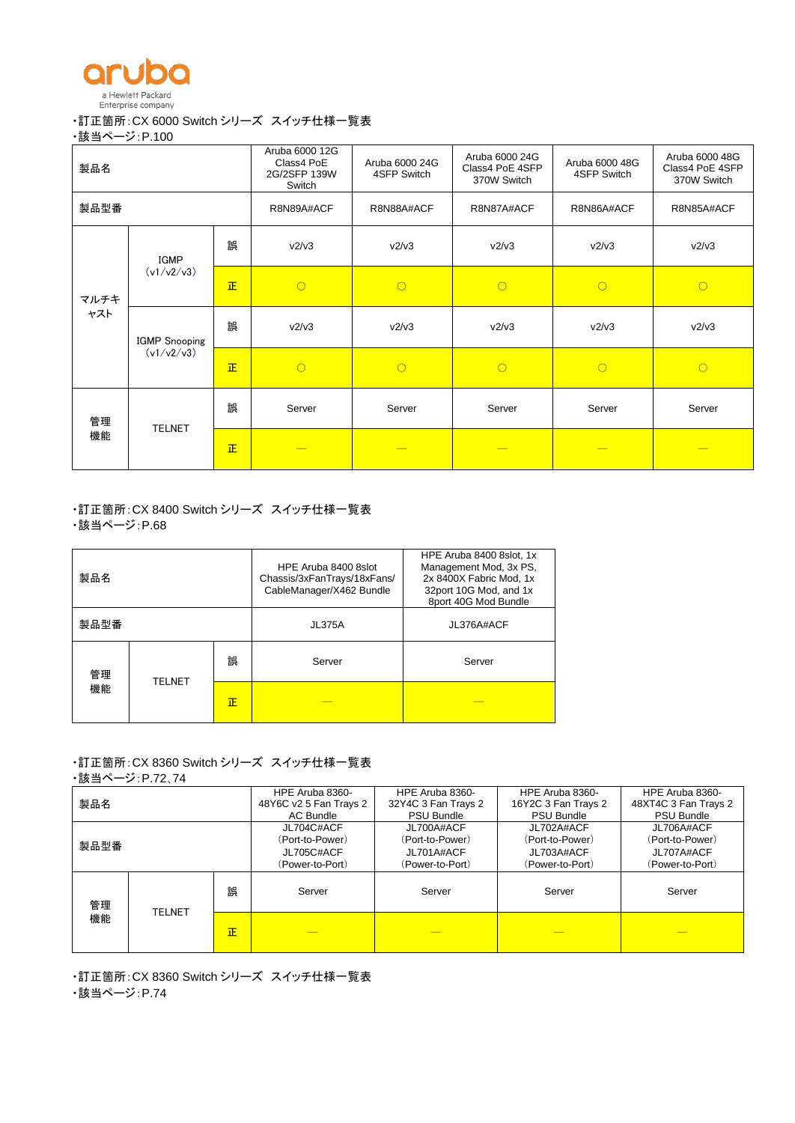

#### ・訂正箇所:CX 6000 Switch シリーズ スイッチ仕様一覧表

・該当ページ:P.100

| 製品名         |                                                 |           | Aruba 6000 12G<br>Class4 PoE<br>2G/2SFP 139W<br>Switch | Aruba 6000 24G<br>4SFP Switch | Aruba 6000 24G<br>Class4 PoE 4SFP<br>370W Switch | Aruba 6000 48G<br>4SFP Switch | Aruba 6000 48G<br>Class4 PoE 4SFP<br>370W Switch |
|-------------|-------------------------------------------------|-----------|--------------------------------------------------------|-------------------------------|--------------------------------------------------|-------------------------------|--------------------------------------------------|
| 製品型番        |                                                 |           | R8N89A#ACF                                             | R8N88A#ACF                    | R8N87A#ACF                                       | R8N86A#ACF                    | R8N85A#ACF                                       |
|             | IGMP<br>(v1/v2/v3)                              | 誤         | v2/v3                                                  | v2/v3                         | v2/v3                                            | v2/v3                         | v2/v3                                            |
| マルチキ<br>ャスト |                                                 | <b>IE</b> | $\bigcirc$                                             | $\circ$                       | $\circ$                                          | $\circ$                       | $\circ$                                          |
|             | <b>IGMP</b> Snooping<br>(v1/v2/v3)<br><b>IE</b> | 誤         | v2/v3                                                  | v2/v3                         | v2/v3                                            | v2/v3                         | v2/v3                                            |
|             |                                                 |           | $\bigcirc$                                             | $\circ$                       | $\bigcirc$                                       | $\circ$                       | $\circ$                                          |
| 管理<br>機能    | <b>TELNET</b>                                   | 誤         | Server                                                 | Server                        | Server                                           | Server                        | Server                                           |
|             |                                                 | <b>IE</b> |                                                        |                               |                                                  |                               |                                                  |

・訂正箇所:CX 8400 Switch シリーズ スイッチ仕様一覧表 ・該当ページ:P.68

| 製品名  |               |   | HPE Aruba 8400 8slot<br>Chassis/3xFanTrays/18xFans/<br>CableManager/X462 Bundle | HPE Aruba 8400 8slot, 1x<br>Management Mod, 3x PS,<br>2x 8400X Fabric Mod, 1x<br>32port 10G Mod, and 1x<br>8port 40G Mod Bundle |
|------|---------------|---|---------------------------------------------------------------------------------|---------------------------------------------------------------------------------------------------------------------------------|
| 製品型番 |               |   | <b>JL375A</b>                                                                   | JL376A#ACF                                                                                                                      |
| 管理   | <b>TELNET</b> | 誤 | Server                                                                          | Server                                                                                                                          |
| 機能   |               | 正 |                                                                                 |                                                                                                                                 |

# ・訂正箇所:CX 8360 Switch シリーズ スイッチ仕様一覧表

・該当ページ:P.72、74

| 製品名  |               |   | HPE Aruba 8360-<br>48Y6C v2 5 Fan Trays 2<br>AC Bundle         | HPE Aruba 8360-<br>32Y4C 3 Fan Trays 2<br><b>PSU Bundle</b>    | HPE Aruba 8360-<br>16Y2C 3 Fan Trays 2<br><b>PSU Bundle</b>    | HPE Aruba 8360-<br>48XT4C 3 Fan Trays 2<br><b>PSU Bundle</b>   |
|------|---------------|---|----------------------------------------------------------------|----------------------------------------------------------------|----------------------------------------------------------------|----------------------------------------------------------------|
| 製品型番 |               |   | JL704C#ACF<br>(Port-to-Power)<br>JL705C#ACF<br>(Power-to-Port) | JL700A#ACF<br>(Port-to-Power)<br>JL701A#ACF<br>(Power-to-Port) | JL702A#ACF<br>(Port-to-Power)<br>JL703A#ACF<br>(Power-to-Port) | JL706A#ACF<br>(Port-to-Power)<br>JL707A#ACF<br>(Power-to-Port) |
| 管理   |               | 誤 | Server                                                         | Server                                                         | Server                                                         | Server                                                         |
| 機能   | <b>TELNET</b> | 正 |                                                                |                                                                |                                                                |                                                                |

・訂正箇所:CX 8360 Switch シリーズ スイッチ仕様一覧表 ・該当ページ:P.74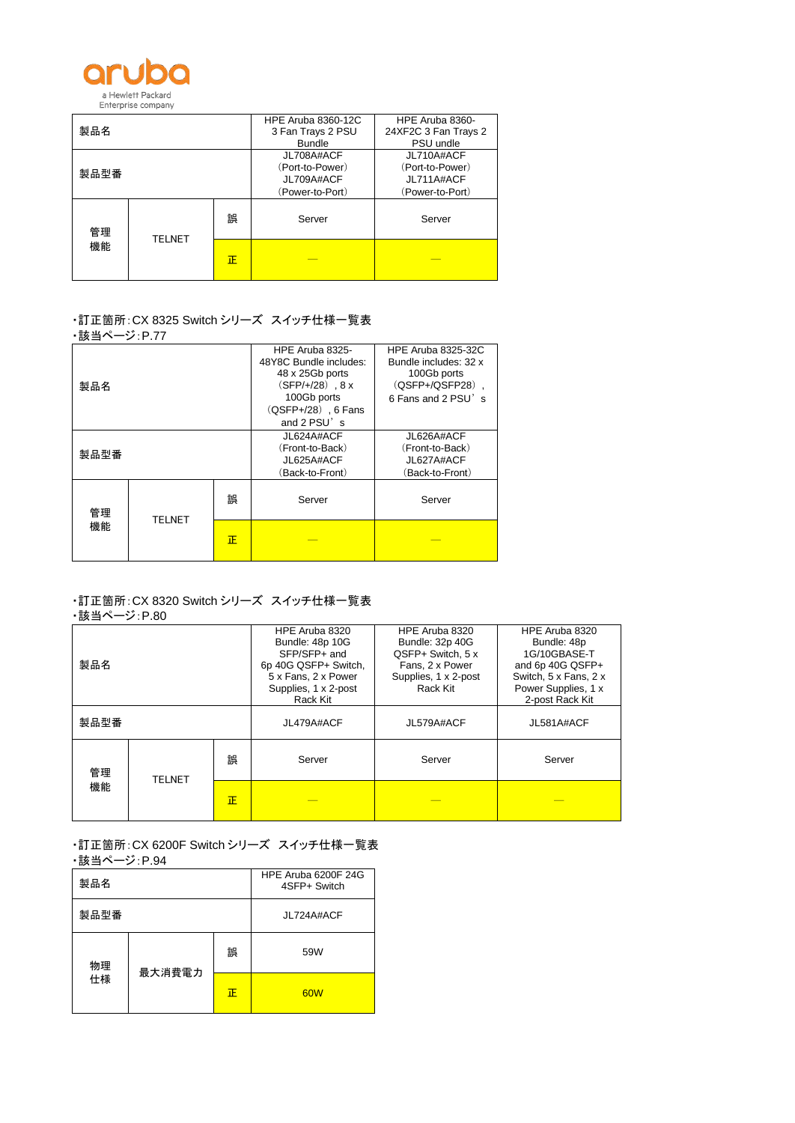

|          |               |   | <b>HPE Aruba 8360-12C</b> | HPE Aruba 8360-      |
|----------|---------------|---|---------------------------|----------------------|
| 製品名      |               |   | 3 Fan Trays 2 PSU         | 24XF2C 3 Fan Trays 2 |
|          |               |   | <b>Bundle</b>             | PSU undle            |
|          |               |   | JL708A#ACF                | JL710A#ACF           |
|          |               |   | (Port-to-Power)           | (Port-to-Power)      |
| 製品型番     |               |   | JL709A#ACF                | JL711A#ACF           |
|          |               |   | (Power-to-Port)           | (Power-to-Port)      |
| 管理<br>機能 | <b>TELNET</b> | 誤 | Server                    | Server               |
|          |               | Œ |                           |                      |

# ・訂正箇所:CX 8325 Switch シリーズ スイッチ仕様一覧表

| ⋻╳═╕▘丶 | <u>2.1.11</u> |   |                                                                                                                                                 |                                                                                                            |
|--------|---------------|---|-------------------------------------------------------------------------------------------------------------------------------------------------|------------------------------------------------------------------------------------------------------------|
| 製品名    |               |   | HPE Aruba 8325-<br>48Y8C Bundle includes:<br>48 x 25Gb ports<br>$(SFP/+/28)$ . 8 x<br>100Gb ports<br>$(QSFP+/28)$ , 6 Fans<br>and $2$ PSU $'$ s | <b>HPE Aruba 8325-32C</b><br>Bundle includes: 32 x<br>100Gb ports<br>(QSFP+/QSFP28),<br>6 Fans and 2 PSU's |
| 製品型番   |               |   | JL624A#ACF<br>(Front-to-Back)<br>JL625A#ACF<br>(Back-to-Front)                                                                                  | JL626A#ACF<br>(Front-to-Back)<br>JL627A#ACF<br>(Back-to-Front)                                             |
| 管理     | <b>TELNET</b> | 誤 | Server                                                                                                                                          | Server                                                                                                     |
| 機能     |               | 正 |                                                                                                                                                 |                                                                                                            |

#### ・訂正箇所:CX 8320 Switch シリーズ スイッチ仕様一覧表 ・該当ページ:P.80

| 製品名                 |  | HPE Aruba 8320<br>Bundle: 48p 10G<br>SFP/SFP+ and<br>6p 40G QSFP+ Switch,<br>5 x Fans, 2 x Power<br>Supplies, 1 x 2-post<br>Rack Kit | HPE Aruba 8320<br><b>Bundle: 32p 40G</b><br>QSFP+ Switch, 5 x<br>Fans, 2 x Power<br>Supplies, 1 x 2-post<br>Rack Kit | HPE Aruba 8320<br>Bundle: 48p<br>1G/10GBASE-T<br>and 6p 40G QSFP+<br>Switch, 5 x Fans, 2 x<br>Power Supplies, 1 x<br>2-post Rack Kit |            |
|---------------------|--|--------------------------------------------------------------------------------------------------------------------------------------|----------------------------------------------------------------------------------------------------------------------|--------------------------------------------------------------------------------------------------------------------------------------|------------|
| 製品型番                |  |                                                                                                                                      | JL479A#ACF                                                                                                           | JL579A#ACF                                                                                                                           | JL581A#ACF |
| 管理                  |  | 誤                                                                                                                                    | Server                                                                                                               | Server                                                                                                                               | Server     |
| <b>TELNET</b><br>機能 |  | 正                                                                                                                                    |                                                                                                                      |                                                                                                                                      |            |

・訂正箇所:CX 6200F Switch シリーズ スイッチ仕様一覧表 - 該当ページ: P.94

| ---  |        |                                     |     |
|------|--------|-------------------------------------|-----|
| 製品名  |        | HPE Aruba 6200F 24G<br>4SFP+ Switch |     |
| 製品型番 |        | JL724A#ACF                          |     |
| 物理   | 最大消費電力 | 誤                                   | 59W |
| 仕様   |        | 正                                   | 60W |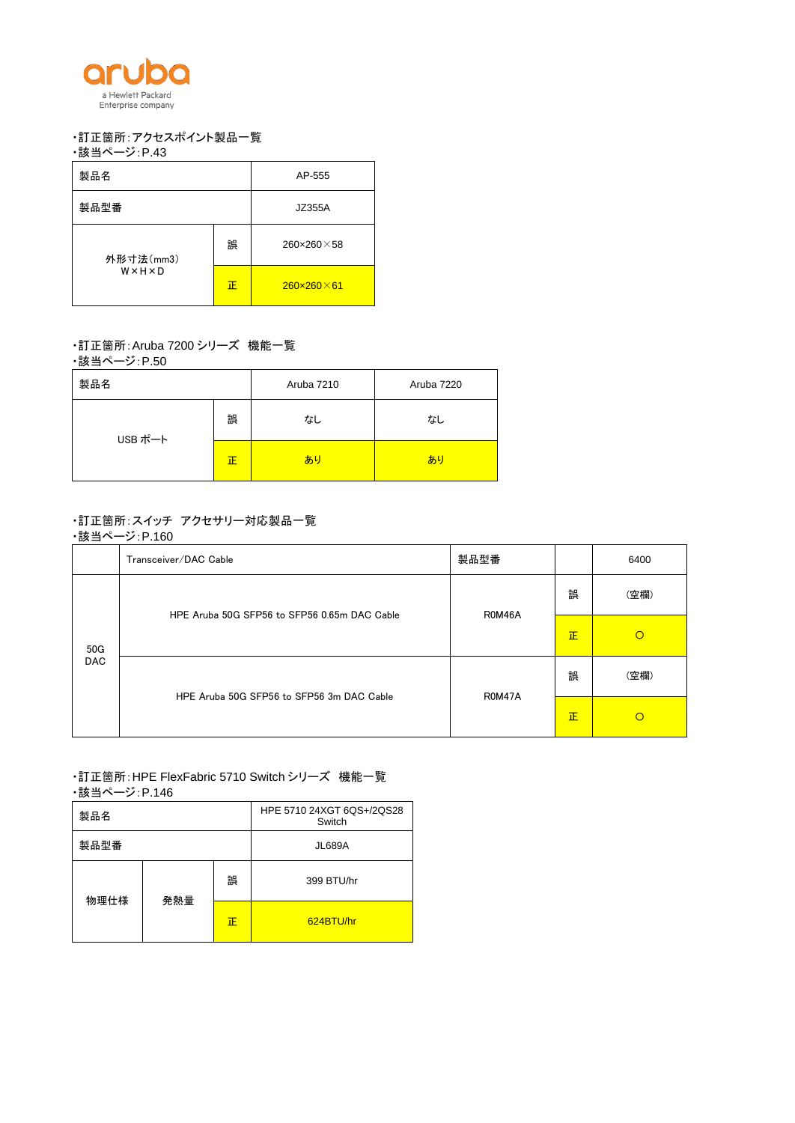

## ・訂正箇所:アクセスポイント製品一覧

```
・該当ページ:P.43
```

| 製品名       | AP-555 |                        |
|-----------|--------|------------------------|
| 製品型番      | JZ355A |                        |
| 外形寸法(mm3) | 誤      | $260\times260\times58$ |
| WXHXD     | 正      | $260\times260\times61$ |

## ・訂正箇所:Aruba 7200 シリーズ 機能一覧

・該当ページ:P.50

| 製品名     |   | Aruba 7210 | Aruba 7220 |
|---------|---|------------|------------|
| USB ポート | 誤 | なし         | なし         |
|         | 正 | あり         | あり         |

# ・訂正箇所:スイッチ アクセサリー対応製品一覧

・該当ページ:P.160

|                   | Transceiver/DAC Cable                        | 製品型番   |   | 6400     |
|-------------------|----------------------------------------------|--------|---|----------|
| 50G<br><b>DAC</b> | HPE Aruba 50G SFP56 to SFP56 0.65m DAC Cable | R0M46A | 誤 | (空欄)     |
|                   |                                              |        | 正 | $\circ$  |
|                   | HPE Aruba 50G SFP56 to SFP56 3m DAC Cable    | R0M47A | 誤 | (空欄)     |
|                   |                                              |        | 正 | $\Omega$ |

#### ・訂正箇所:HPE FlexFabric 5710 Switch シリーズ 機能一覧 ・該当ページ:P.146

| ---  |          |               |                                     |
|------|----------|---------------|-------------------------------------|
| 製品名  |          |               | HPE 5710 24XGT 6QS+/2QS28<br>Switch |
| 製品型番 |          | <b>JL689A</b> |                                     |
| 物理仕様 | 誤<br>発熱量 |               | 399 BTU/hr                          |
|      |          | 正             | 624BTU/hr                           |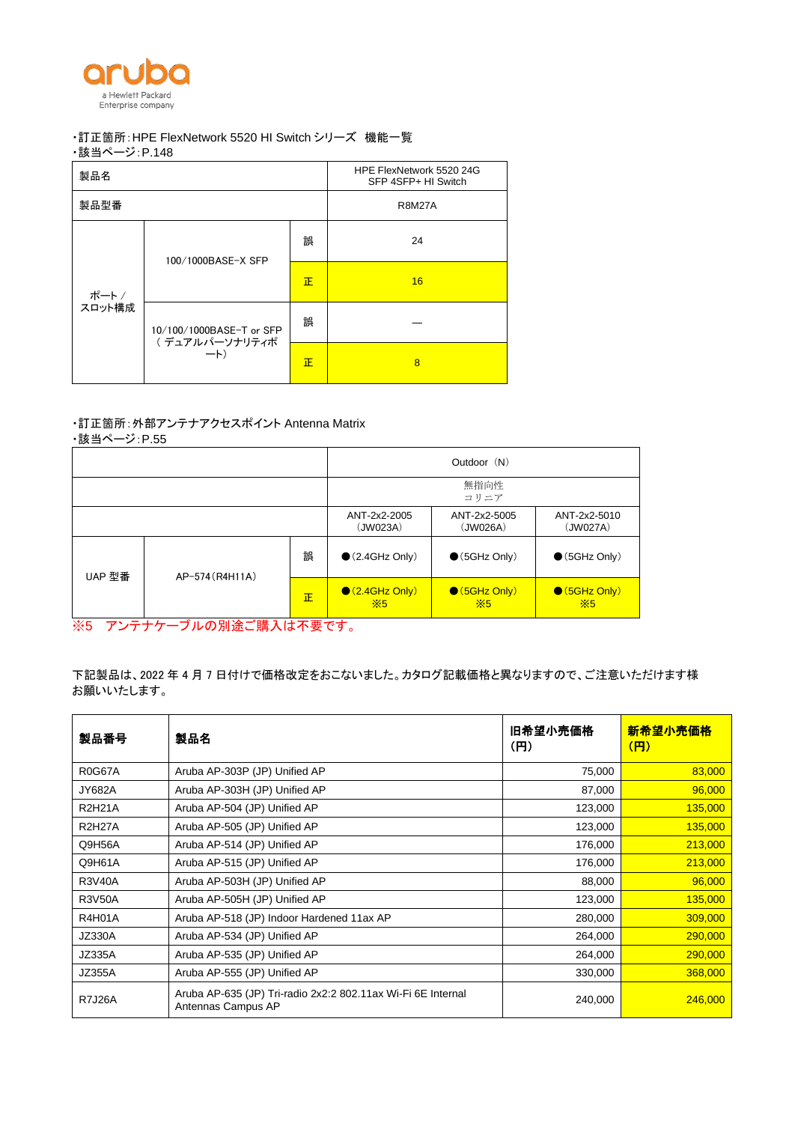

## ・訂正箇所:HPE FlexNetwork 5520 HI Switch シリーズ 機能一覧

・該当ページ:P.148

| 製品名    |                          |   | HPE FlexNetwork 5520 24G<br>SFP 4SFP+ HI Switch |  |
|--------|--------------------------|---|-------------------------------------------------|--|
| 製品型番   |                          |   | <b>R8M27A</b>                                   |  |
|        | 100/1000BASE-X SFP       |   | 24                                              |  |
| ポート/   | 10/100/1000BASE-T or SFP | 正 | 16                                              |  |
| スロット構成 |                          | 誤 |                                                 |  |
|        | (デュアルパーソナリティポ<br>$-k$    | 正 | 8                                               |  |

#### ・訂正箇所:外部アンテナアクセスポイント Antenna Matrix

・該当ページ:P.55

|        |                 |   | Outdoor (N)                            |                                      |                                      |  |
|--------|-----------------|---|----------------------------------------|--------------------------------------|--------------------------------------|--|
|        |                 |   |                                        | 無指向性<br>コリニア                         |                                      |  |
|        |                 |   | ANT-2x2-2005<br>(JW023A)               | ANT-2x2-5005<br>(JW026A)             | ANT-2x2-5010<br>(JW027A)             |  |
|        | AP-574 (R4H11A) | 誤 | $\bullet$ (2.4GHz Only)                | $\bullet$ (5GHz Only)                | $\bullet$ (5GHz Only)                |  |
| UAP 型番 |                 | 正 | $\bigcirc$ (2.4GHz Only)<br>$\times 5$ | $\bigcirc$ (5GHz Only)<br>$\times$ 5 | $\bigcirc$ (5GHz Only)<br>$\times 5$ |  |

※5 アンテナケーブルの別途ご購入は不要です。

下記製品は、2022 年 4 月 7 日付けで価格改定をおこないました。カタログ記載価格と異なりますので、ご注意いただけます様 お願いいたします。

| 製品番号          | 製品名                                                                                | 旧希望小売価格<br>(H) | 新希望小売価格<br>(円) |
|---------------|------------------------------------------------------------------------------------|----------------|----------------|
| <b>R0G67A</b> | Aruba AP-303P (JP) Unified AP                                                      | 75,000         | 83,000         |
| <b>JY682A</b> | Aruba AP-303H (JP) Unified AP                                                      | 87,000         | 96,000         |
| <b>R2H21A</b> | Aruba AP-504 (JP) Unified AP                                                       | 123,000        | 135,000        |
| <b>R2H27A</b> | Aruba AP-505 (JP) Unified AP                                                       | 123,000        | 135,000        |
| Q9H56A        | Aruba AP-514 (JP) Unified AP                                                       | 176,000        | 213,000        |
| Q9H61A        | Aruba AP-515 (JP) Unified AP                                                       | 176,000        | 213,000        |
| <b>R3V40A</b> | Aruba AP-503H (JP) Unified AP                                                      | 88,000         | 96,000         |
| <b>R3V50A</b> | Aruba AP-505H (JP) Unified AP                                                      | 123,000        | 135,000        |
| R4H01A        | Aruba AP-518 (JP) Indoor Hardened 11ax AP                                          | 280,000        | 309,000        |
| <b>JZ330A</b> | Aruba AP-534 (JP) Unified AP                                                       | 264,000        | 290,000        |
| JZ335A        | Aruba AP-535 (JP) Unified AP                                                       | 264,000        | 290,000        |
| <b>JZ355A</b> | Aruba AP-555 (JP) Unified AP                                                       | 330,000        | 368,000        |
| <b>R7J26A</b> | Aruba AP-635 (JP) Tri-radio 2x2:2 802.11ax Wi-Fi 6E Internal<br>Antennas Campus AP | 240,000        | 246,000        |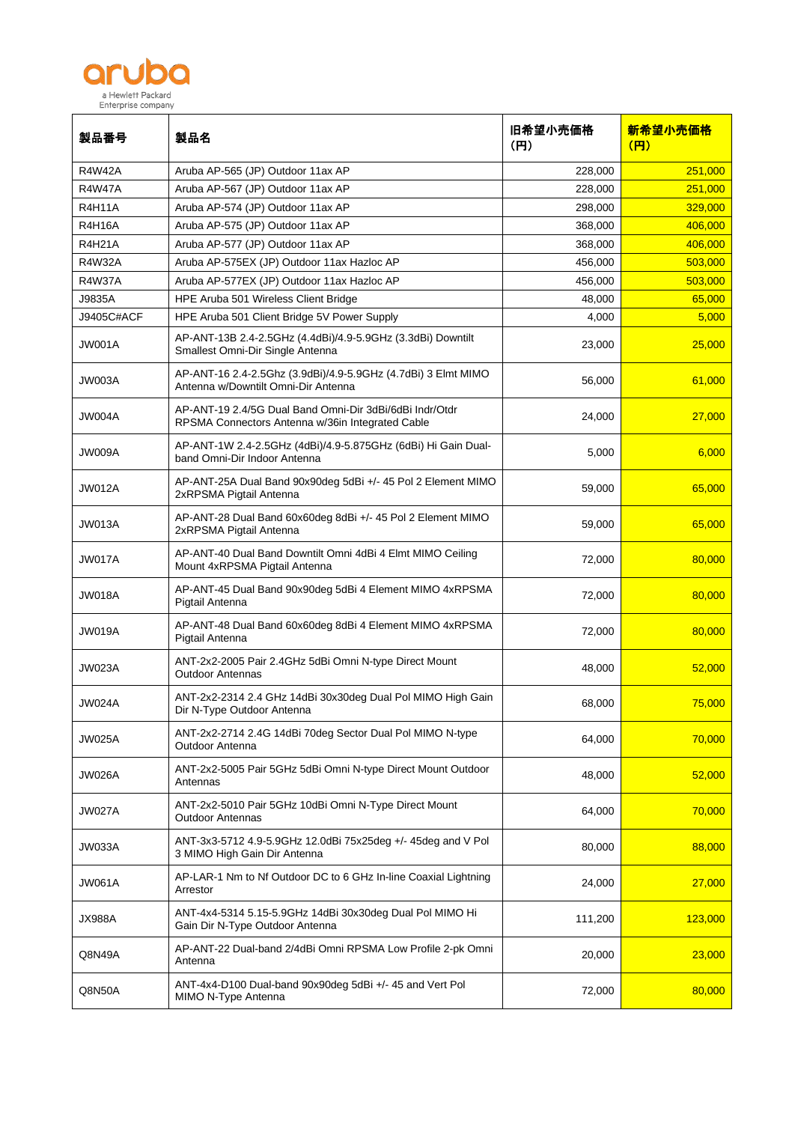

| 製品番号          | 製品名                                                                                                         | 旧希望小売価格<br>(H) | 新希望小売価格<br>(円) |
|---------------|-------------------------------------------------------------------------------------------------------------|----------------|----------------|
| <b>R4W42A</b> | Aruba AP-565 (JP) Outdoor 11ax AP                                                                           | 228,000        | 251,000        |
| <b>R4W47A</b> | Aruba AP-567 (JP) Outdoor 11ax AP                                                                           | 228,000        | 251,000        |
| <b>R4H11A</b> | Aruba AP-574 (JP) Outdoor 11ax AP                                                                           | 298,000        | 329,000        |
| <b>R4H16A</b> | Aruba AP-575 (JP) Outdoor 11ax AP                                                                           | 368,000        | 406,000        |
| <b>R4H21A</b> | Aruba AP-577 (JP) Outdoor 11ax AP                                                                           | 368,000        | 406,000        |
| <b>R4W32A</b> | Aruba AP-575EX (JP) Outdoor 11ax Hazloc AP                                                                  | 456,000        | 503,000        |
| <b>R4W37A</b> | Aruba AP-577EX (JP) Outdoor 11ax Hazloc AP                                                                  | 456,000        | 503,000        |
| J9835A        | HPE Aruba 501 Wireless Client Bridge                                                                        | 48,000         | 65,000         |
| J9405C#ACF    | HPE Aruba 501 Client Bridge 5V Power Supply                                                                 | 4,000          | 5,000          |
| JW001A        | AP-ANT-13B 2.4-2.5GHz (4.4dBi)/4.9-5.9GHz (3.3dBi) Downtilt<br>Smallest Omni-Dir Single Antenna             | 23,000         | 25,000         |
| JW003A        | AP-ANT-16 2.4-2.5Ghz (3.9dBi)/4.9-5.9GHz (4.7dBi) 3 Elmt MIMO<br>Antenna w/Downtilt Omni-Dir Antenna        | 56,000         | 61,000         |
| JW004A        | AP-ANT-19 2.4/5G Dual Band Omni-Dir 3dBi/6dBi Indr/Otdr<br>RPSMA Connectors Antenna w/36in Integrated Cable | 24,000         | 27,000         |
| JW009A        | AP-ANT-1W 2.4-2.5GHz (4dBi)/4.9-5.875GHz (6dBi) Hi Gain Dual-<br>band Omni-Dir Indoor Antenna               | 5,000          | 6,000          |
| <b>JW012A</b> | AP-ANT-25A Dual Band 90x90deg 5dBi +/- 45 Pol 2 Element MIMO<br>2xRPSMA Pigtail Antenna                     | 59,000         | 65,000         |
| JW013A        | AP-ANT-28 Dual Band 60x60deg 8dBi +/- 45 Pol 2 Element MIMO<br>2xRPSMA Pigtail Antenna                      | 59,000         | 65,000         |
| JW017A        | AP-ANT-40 Dual Band Downtilt Omni 4dBi 4 Elmt MIMO Ceiling<br>Mount 4xRPSMA Pigtail Antenna                 | 72,000         | 80,000         |
| JW018A        | AP-ANT-45 Dual Band 90x90deg 5dBi 4 Element MIMO 4xRPSMA<br>Pigtail Antenna                                 | 72,000         | 80,000         |
| JW019A        | AP-ANT-48 Dual Band 60x60deg 8dBi 4 Element MIMO 4xRPSMA<br>Pigtail Antenna                                 | 72,000         | 80,000         |
| JW023A        | ANT-2x2-2005 Pair 2.4GHz 5dBi Omni N-type Direct Mount<br><b>Outdoor Antennas</b>                           | 48,000         | 52,000         |
| JW024A        | ANT-2x2-2314 2.4 GHz 14dBi 30x30deg Dual Pol MIMO High Gain<br>Dir N-Type Outdoor Antenna                   | 68,000         | 75,000         |
| JW025A        | ANT-2x2-2714 2.4G 14dBi 70deg Sector Dual Pol MIMO N-type<br>Outdoor Antenna                                | 64,000         | 70,000         |
| <b>JW026A</b> | ANT-2x2-5005 Pair 5GHz 5dBi Omni N-type Direct Mount Outdoor<br>Antennas                                    | 48,000         | 52,000         |
| JW027A        | ANT-2x2-5010 Pair 5GHz 10dBi Omni N-Type Direct Mount<br><b>Outdoor Antennas</b>                            | 64,000         | 70,000         |
| <b>JW033A</b> | ANT-3x3-5712 4.9-5.9GHz 12.0dBi 75x25deg +/- 45deg and V Pol<br>3 MIMO High Gain Dir Antenna                | 80,000         | 88,000         |
| JW061A        | AP-LAR-1 Nm to Nf Outdoor DC to 6 GHz In-line Coaxial Lightning<br>Arrestor                                 | 24,000         | 27,000         |
| JX988A        | ANT-4x4-5314 5.15-5.9GHz 14dBi 30x30deg Dual Pol MIMO Hi<br>Gain Dir N-Type Outdoor Antenna                 | 111,200        | 123,000        |
| Q8N49A        | AP-ANT-22 Dual-band 2/4dBi Omni RPSMA Low Profile 2-pk Omni<br>Antenna                                      | 20,000         | 23,000         |
| Q8N50A        | ANT-4x4-D100 Dual-band 90x90deg 5dBi +/- 45 and Vert Pol<br>MIMO N-Type Antenna                             | 72,000         | 80,000         |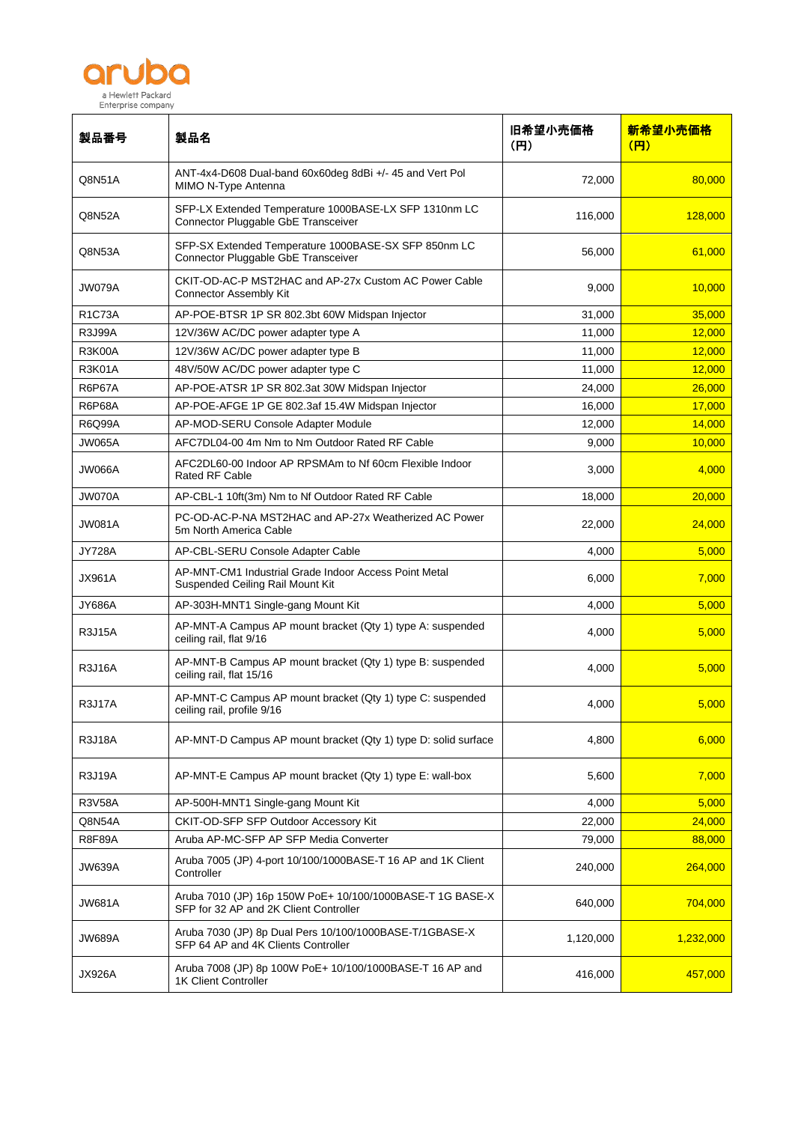

| 製品番号          | 製品名                                                                                                 | 旧希望小売価格<br>(円) | 新希望小売価格<br>(円) |
|---------------|-----------------------------------------------------------------------------------------------------|----------------|----------------|
| Q8N51A        | ANT-4x4-D608 Dual-band 60x60deg 8dBi +/- 45 and Vert Pol<br>MIMO N-Type Antenna                     | 72,000         | 80,000         |
| Q8N52A        | SFP-LX Extended Temperature 1000BASE-LX SFP 1310nm LC<br>Connector Pluggable GbE Transceiver        | 116,000        | 128,000        |
| Q8N53A        | SFP-SX Extended Temperature 1000BASE-SX SFP 850nm LC<br>Connector Pluggable GbE Transceiver         | 56,000         | 61,000         |
| JW079A        | CKIT-OD-AC-P MST2HAC and AP-27x Custom AC Power Cable<br><b>Connector Assembly Kit</b>              | 9,000          | 10,000         |
| <b>R1C73A</b> | AP-POE-BTSR 1P SR 802.3bt 60W Midspan Injector                                                      | 31,000         | 35,000         |
| <b>R3J99A</b> | 12V/36W AC/DC power adapter type A                                                                  | 11,000         | 12,000         |
| R3K00A        | 12V/36W AC/DC power adapter type B                                                                  | 11,000         | 12,000         |
| <b>R3K01A</b> | 48V/50W AC/DC power adapter type C                                                                  | 11,000         | 12,000         |
| <b>R6P67A</b> | AP-POE-ATSR 1P SR 802.3at 30W Midspan Injector                                                      | 24,000         | 26,000         |
| <b>R6P68A</b> | AP-POE-AFGE 1P GE 802.3af 15.4W Midspan Injector                                                    | 16,000         | 17,000         |
| <b>R6Q99A</b> | AP-MOD-SERU Console Adapter Module                                                                  | 12,000         | 14,000         |
| <b>JW065A</b> | AFC7DL04-00 4m Nm to Nm Outdoor Rated RF Cable                                                      | 9,000          | 10,000         |
| JW066A        | AFC2DL60-00 Indoor AP RPSMAm to Nf 60cm Flexible Indoor<br><b>Rated RF Cable</b>                    | 3,000          | 4.000          |
| <b>JW070A</b> | AP-CBL-1 10ft(3m) Nm to Nf Outdoor Rated RF Cable                                                   | 18,000         | 20,000         |
| <b>JW081A</b> | PC-OD-AC-P-NA MST2HAC and AP-27x Weatherized AC Power<br>5m North America Cable                     | 22,000         | 24,000         |
| <b>JY728A</b> | AP-CBL-SERU Console Adapter Cable                                                                   | 4,000          | 5,000          |
| <b>JX961A</b> | AP-MNT-CM1 Industrial Grade Indoor Access Point Metal<br>Suspended Ceiling Rail Mount Kit           | 6,000          | 7,000          |
| <b>JY686A</b> | AP-303H-MNT1 Single-gang Mount Kit                                                                  | 4,000          | 5,000          |
| <b>R3J15A</b> | AP-MNT-A Campus AP mount bracket (Qty 1) type A: suspended<br>ceiling rail, flat 9/16               | 4,000          | 5,000          |
| <b>R3J16A</b> | AP-MNT-B Campus AP mount bracket (Qty 1) type B: suspended<br>ceiling rail, flat 15/16              | 4,000          | 5,000          |
| <b>R3J17A</b> | AP-MNT-C Campus AP mount bracket (Qty 1) type C: suspended<br>ceiling rail, profile 9/16            | 4,000          | 5,000          |
| <b>R3J18A</b> | AP-MNT-D Campus AP mount bracket (Qty 1) type D: solid surface                                      | 4,800          | 6,000          |
| <b>R3J19A</b> | AP-MNT-E Campus AP mount bracket (Qty 1) type E: wall-box                                           | 5,600          | 7,000          |
| <b>R3V58A</b> | AP-500H-MNT1 Single-gang Mount Kit                                                                  | 4,000          | 5,000          |
| Q8N54A        | CKIT-OD-SFP SFP Outdoor Accessory Kit                                                               | 22,000         | 24,000         |
| <b>R8F89A</b> | Aruba AP-MC-SFP AP SFP Media Converter                                                              | 79,000         | 88,000         |
| <b>JW639A</b> | Aruba 7005 (JP) 4-port 10/100/1000BASE-T 16 AP and 1K Client<br>Controller                          | 240,000        | 264,000        |
| <b>JW681A</b> | Aruba 7010 (JP) 16p 150W PoE+ 10/100/1000BASE-T 1G BASE-X<br>SFP for 32 AP and 2K Client Controller | 640,000        | 704,000        |
| <b>JW689A</b> | Aruba 7030 (JP) 8p Dual Pers 10/100/1000BASE-T/1GBASE-X<br>SFP 64 AP and 4K Clients Controller      | 1,120,000      | 1,232,000      |
| <b>JX926A</b> | Aruba 7008 (JP) 8p 100W PoE+ 10/100/1000BASE-T 16 AP and<br>1K Client Controller                    | 416,000        | 457,000        |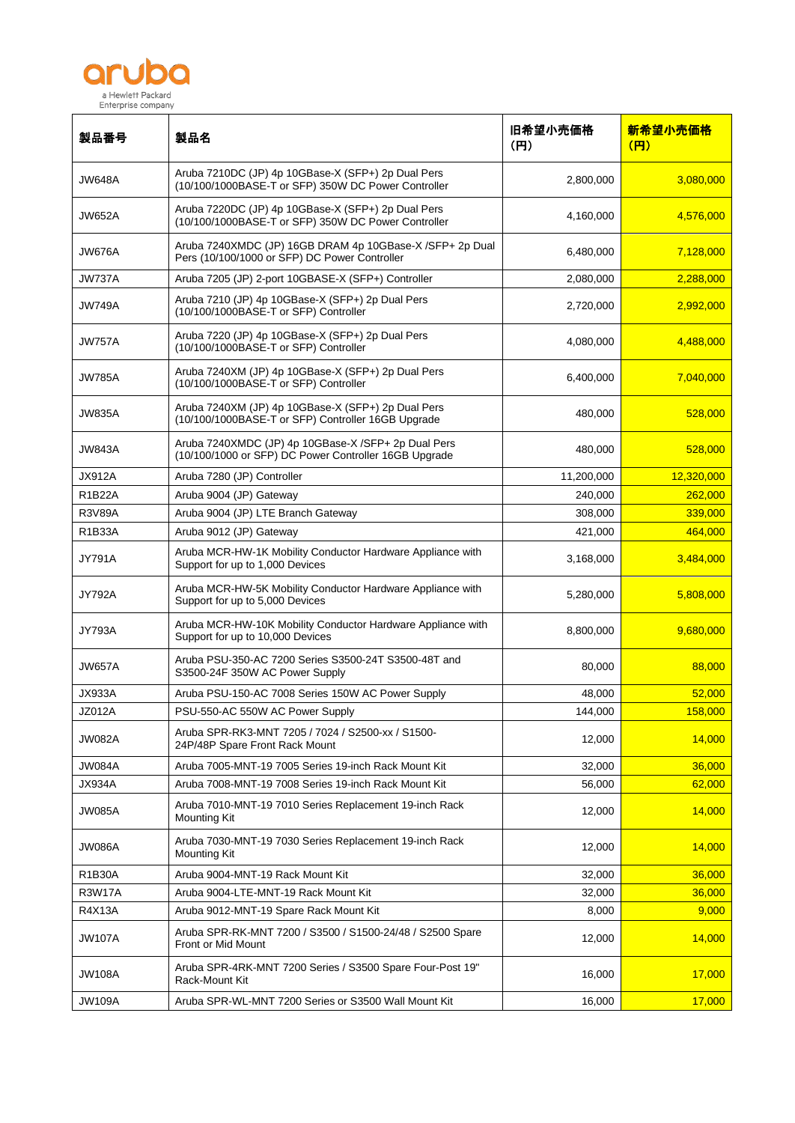

| 製品番号          | 製品名                                                                                                          | 旧希望小売価格<br>(H) | 新希望小売価格<br>(円) |
|---------------|--------------------------------------------------------------------------------------------------------------|----------------|----------------|
| <b>JW648A</b> | Aruba 7210DC (JP) 4p 10GBase-X (SFP+) 2p Dual Pers<br>(10/100/1000BASE-T or SFP) 350W DC Power Controller    | 2,800,000      | 3,080,000      |
| <b>JW652A</b> | Aruba 7220DC (JP) 4p 10GBase-X (SFP+) 2p Dual Pers<br>(10/100/1000BASE-T or SFP) 350W DC Power Controller    | 4,160,000      | 4,576,000      |
| JW676A        | Aruba 7240XMDC (JP) 16GB DRAM 4p 10GBase-X /SFP+ 2p Dual<br>Pers (10/100/1000 or SFP) DC Power Controller    | 6,480,000      | 7,128,000      |
| <b>JW737A</b> | Aruba 7205 (JP) 2-port 10GBASE-X (SFP+) Controller                                                           | 2,080,000      | 2,288,000      |
| <b>JW749A</b> | Aruba 7210 (JP) 4p 10GBase-X (SFP+) 2p Dual Pers<br>(10/100/1000BASE-T or SFP) Controller                    | 2,720,000      | 2,992,000      |
| <b>JW757A</b> | Aruba 7220 (JP) 4p 10GBase-X (SFP+) 2p Dual Pers<br>(10/100/1000BASE-T or SFP) Controller                    | 4,080,000      | 4,488,000      |
| <b>JW785A</b> | Aruba 7240XM (JP) 4p 10GBase-X (SFP+) 2p Dual Pers<br>(10/100/1000BASE-T or SFP) Controller                  | 6,400,000      | 7,040,000      |
| <b>JW835A</b> | Aruba 7240XM (JP) 4p 10GBase-X (SFP+) 2p Dual Pers<br>(10/100/1000BASE-T or SFP) Controller 16GB Upgrade     | 480,000        | 528,000        |
| <b>JW843A</b> | Aruba 7240XMDC (JP) 4p 10GBase-X /SFP+ 2p Dual Pers<br>(10/100/1000 or SFP) DC Power Controller 16GB Upgrade | 480,000        | 528,000        |
| <b>JX912A</b> | Aruba 7280 (JP) Controller                                                                                   | 11,200,000     | 12,320,000     |
| <b>R1B22A</b> | Aruba 9004 (JP) Gateway                                                                                      | 240,000        | 262,000        |
| <b>R3V89A</b> | Aruba 9004 (JP) LTE Branch Gateway                                                                           | 308,000        | 339,000        |
| R1B33A        | Aruba 9012 (JP) Gateway                                                                                      | 421,000        | 464,000        |
| JY791A        | Aruba MCR-HW-1K Mobility Conductor Hardware Appliance with<br>Support for up to 1,000 Devices                | 3,168,000      | 3,484,000      |
| <b>JY792A</b> | Aruba MCR-HW-5K Mobility Conductor Hardware Appliance with<br>Support for up to 5,000 Devices                | 5,280,000      | 5,808,000      |
| <b>JY793A</b> | Aruba MCR-HW-10K Mobility Conductor Hardware Appliance with<br>Support for up to 10,000 Devices              | 8,800,000      | 9,680,000      |
| JW657A        | Aruba PSU-350-AC 7200 Series S3500-24T S3500-48T and<br>S3500-24F 350W AC Power Supply                       | 80,000         | 88,000         |
| JX933A        | Aruba PSU-150-AC 7008 Series 150W AC Power Supply                                                            | 48,000         | 52,000         |
| <b>JZ012A</b> | PSU-550-AC 550W AC Power Supply                                                                              | 144,000        | 158,000        |
| <b>JW082A</b> | Aruba SPR-RK3-MNT 7205 / 7024 / S2500-xx / S1500-<br>24P/48P Spare Front Rack Mount                          | 12,000         | 14,000         |
| JW084A        | Aruba 7005-MNT-19 7005 Series 19-inch Rack Mount Kit                                                         | 32,000         | 36,000         |
| JX934A        | Aruba 7008-MNT-19 7008 Series 19-inch Rack Mount Kit                                                         | 56,000         | 62,000         |
| <b>JW085A</b> | Aruba 7010-MNT-19 7010 Series Replacement 19-inch Rack<br><b>Mounting Kit</b>                                | 12,000         | 14,000         |
| <b>JW086A</b> | Aruba 7030-MNT-19 7030 Series Replacement 19-inch Rack<br><b>Mounting Kit</b>                                | 12,000         | 14,000         |
| <b>R1B30A</b> | Aruba 9004-MNT-19 Rack Mount Kit                                                                             | 32,000         | 36,000         |
| <b>R3W17A</b> | Aruba 9004-LTE-MNT-19 Rack Mount Kit                                                                         | 32,000         | 36,000         |
| R4X13A        | Aruba 9012-MNT-19 Spare Rack Mount Kit                                                                       | 8,000          | 9,000          |
| <b>JW107A</b> | Aruba SPR-RK-MNT 7200 / S3500 / S1500-24/48 / S2500 Spare<br>Front or Mid Mount                              | 12,000         | 14,000         |
| <b>JW108A</b> | Aruba SPR-4RK-MNT 7200 Series / S3500 Spare Four-Post 19"<br>Rack-Mount Kit                                  | 16,000         | 17,000         |
| <b>JW109A</b> | Aruba SPR-WL-MNT 7200 Series or S3500 Wall Mount Kit                                                         | 16,000         | 17,000         |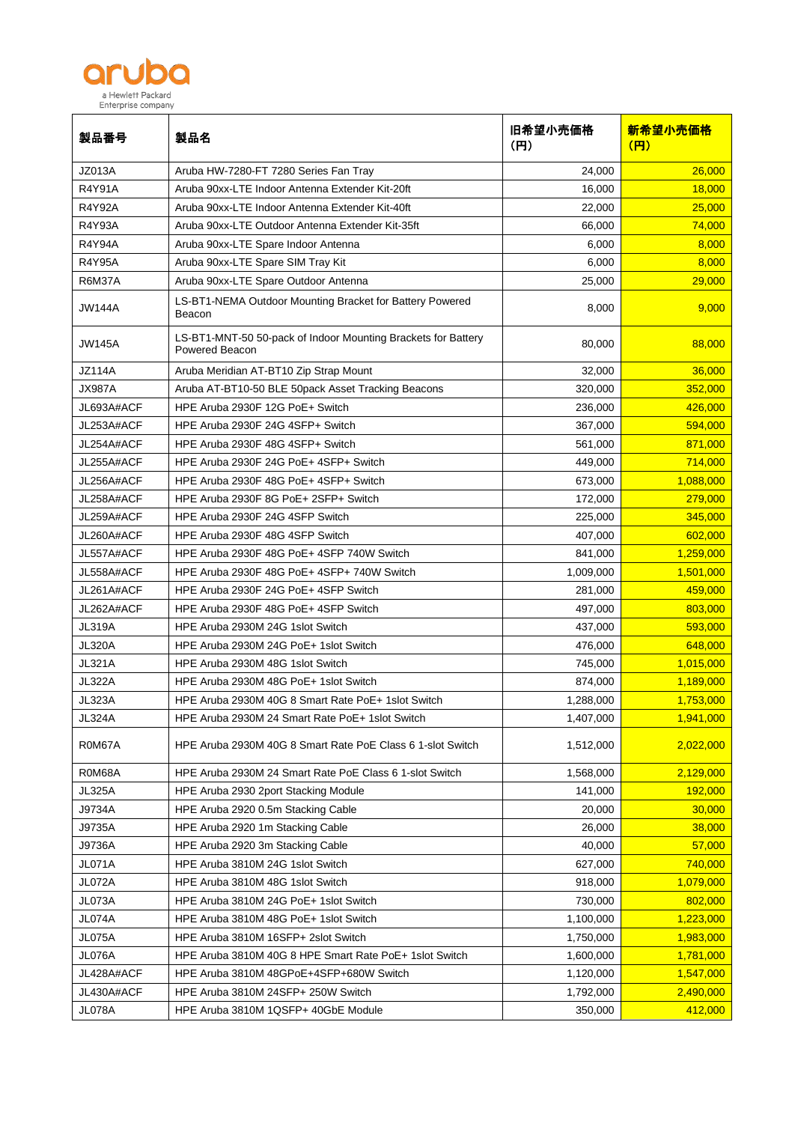

| 製品番号          | 製品名                                                                             | 旧希望小売価格<br>(H) | 新希望小売価格<br>(円) |
|---------------|---------------------------------------------------------------------------------|----------------|----------------|
| JZ013A        | Aruba HW-7280-FT 7280 Series Fan Tray                                           | 24,000         | 26,000         |
| <b>R4Y91A</b> | Aruba 90xx-LTE Indoor Antenna Extender Kit-20ft                                 | 16,000         | 18,000         |
| <b>R4Y92A</b> | Aruba 90xx-LTE Indoor Antenna Extender Kit-40ft                                 | 22,000         | 25,000         |
| R4Y93A        | Aruba 90xx-LTE Outdoor Antenna Extender Kit-35ft                                | 66,000         | 74,000         |
| <b>R4Y94A</b> | Aruba 90xx-LTE Spare Indoor Antenna                                             | 6,000          | 8,000          |
| <b>R4Y95A</b> | Aruba 90xx-LTE Spare SIM Tray Kit                                               | 6,000          | 8,000          |
| <b>R6M37A</b> | Aruba 90xx-LTE Spare Outdoor Antenna                                            | 25,000         | 29,000         |
| <b>JW144A</b> | LS-BT1-NEMA Outdoor Mounting Bracket for Battery Powered<br>Beacon              | 8,000          | 9,000          |
| <b>JW145A</b> | LS-BT1-MNT-50 50-pack of Indoor Mounting Brackets for Battery<br>Powered Beacon | 80,000         | 88,000         |
| <b>JZ114A</b> | Aruba Meridian AT-BT10 Zip Strap Mount                                          | 32,000         | 36,000         |
| <b>JX987A</b> | Aruba AT-BT10-50 BLE 50pack Asset Tracking Beacons                              | 320.000        | 352.000        |
| JL693A#ACF    | HPE Aruba 2930F 12G PoE+ Switch                                                 | 236,000        | 426.000        |
| JL253A#ACF    | HPE Aruba 2930F 24G 4SFP+ Switch                                                | 367,000        | 594,000        |
| JL254A#ACF    | HPE Aruba 2930F 48G 4SFP+ Switch                                                | 561,000        | 871,000        |
| JL255A#ACF    | HPE Aruba 2930F 24G PoE+ 4SFP+ Switch                                           | 449,000        | 714,000        |
| JL256A#ACF    | HPE Aruba 2930F 48G PoE+ 4SFP+ Switch                                           | 673,000        | 1,088,000      |
| JL258A#ACF    | HPE Aruba 2930F 8G PoE+ 2SFP+ Switch                                            | 172,000        | 279,000        |
| JL259A#ACF    | HPE Aruba 2930F 24G 4SFP Switch                                                 | 225,000        | 345,000        |
| JL260A#ACF    | HPE Aruba 2930F 48G 4SFP Switch                                                 | 407,000        | 602,000        |
| JL557A#ACF    | HPE Aruba 2930F 48G PoE+ 4SFP 740W Switch                                       | 841,000        | 1,259,000      |
| JL558A#ACF    | HPE Aruba 2930F 48G PoE+ 4SFP+ 740W Switch                                      | 1,009,000      | 1,501,000      |
| JL261A#ACF    | HPE Aruba 2930F 24G PoE+ 4SFP Switch                                            | 281,000        | 459,000        |
| JL262A#ACF    | HPE Aruba 2930F 48G PoE+ 4SFP Switch                                            | 497,000        | 803,000        |
| <b>JL319A</b> | HPE Aruba 2930M 24G 1slot Switch                                                | 437,000        | 593,000        |
| <b>JL320A</b> | HPE Aruba 2930M 24G PoE+ 1slot Switch                                           | 476,000        | 648,000        |
| <b>JL321A</b> | HPE Aruba 2930M 48G 1slot Switch                                                | 745,000        | 1,015,000      |
| <b>JL322A</b> | HPE Aruba 2930M 48G PoE+ 1slot Switch                                           | 874,000        | 1,189,000      |
| <b>JL323A</b> | HPE Aruba 2930M 40G 8 Smart Rate PoE+ 1slot Switch                              | 1,288,000      | 1,753,000      |
| <b>JL324A</b> | HPE Aruba 2930M 24 Smart Rate PoE+ 1slot Switch                                 | 1,407,000      | 1,941,000      |
| R0M67A        | HPE Aruba 2930M 40G 8 Smart Rate PoE Class 6 1-slot Switch                      | 1,512,000      | 2,022,000      |
| R0M68A        | HPE Aruba 2930M 24 Smart Rate PoE Class 6 1-slot Switch                         | 1,568,000      | 2,129,000      |
| <b>JL325A</b> | HPE Aruba 2930 2port Stacking Module                                            | 141,000        | 192,000        |
| J9734A        | HPE Aruba 2920 0.5m Stacking Cable                                              | 20,000         | 30,000         |
| J9735A        | HPE Aruba 2920 1m Stacking Cable                                                | 26,000         | 38,000         |
| J9736A        | HPE Aruba 2920 3m Stacking Cable                                                | 40,000         | 57,000         |
| <b>JL071A</b> | HPE Aruba 3810M 24G 1slot Switch                                                | 627,000        | 740,000        |
| <b>JL072A</b> | HPE Aruba 3810M 48G 1slot Switch                                                | 918,000        | 1,079,000      |
| JL073A        | HPE Aruba 3810M 24G PoE+ 1slot Switch                                           | 730,000        | 802,000        |
| <b>JL074A</b> | HPE Aruba 3810M 48G PoE+ 1slot Switch                                           | 1,100,000      | 1,223,000      |
| <b>JL075A</b> | HPE Aruba 3810M 16SFP+ 2slot Switch                                             | 1,750,000      | 1,983,000      |
| JL076A        | HPE Aruba 3810M 40G 8 HPE Smart Rate PoE+ 1slot Switch                          | 1,600,000      | 1,781,000      |
| JL428A#ACF    | HPE Aruba 3810M 48GPoE+4SFP+680W Switch                                         | 1,120,000      | 1,547,000      |
| JL430A#ACF    | HPE Aruba 3810M 24SFP+ 250W Switch                                              | 1,792,000      | 2,490,000      |
| JL078A        | HPE Aruba 3810M 1QSFP+ 40GbE Module                                             | 350,000        | 412,000        |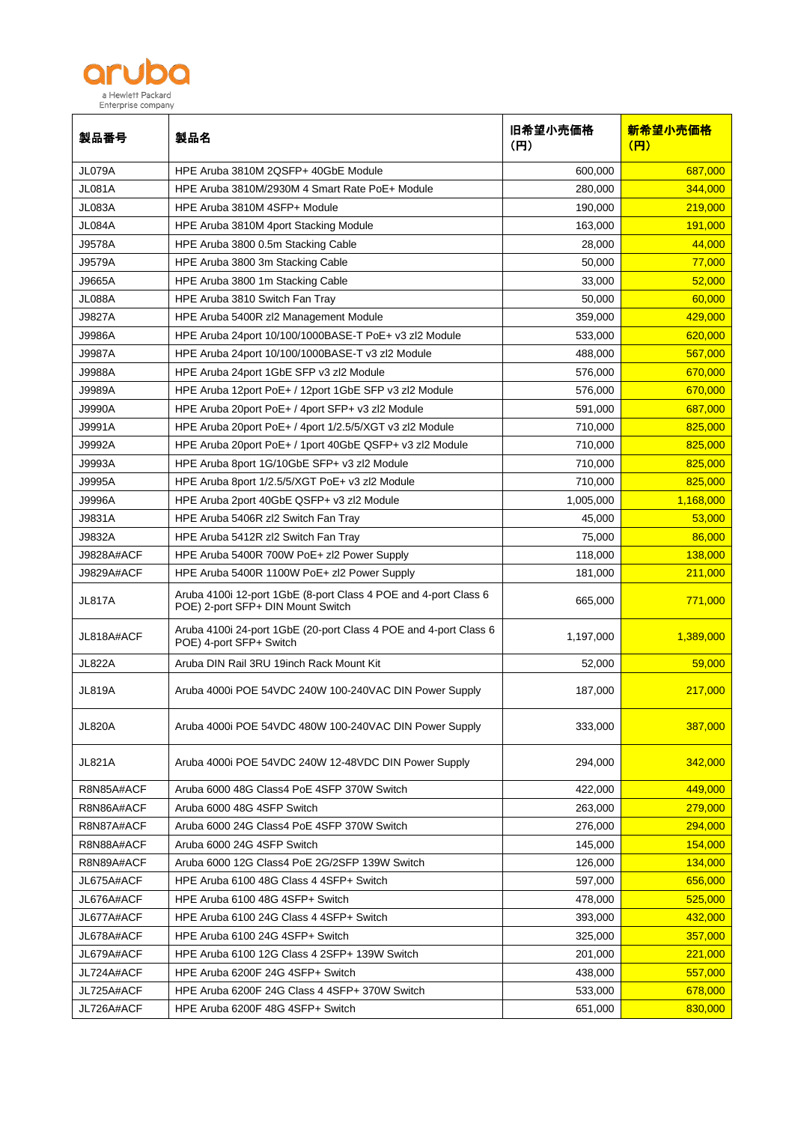

| 製品番号              | 製品名                                                                                                  | 旧希望小売価格<br>(FI) | 新希望小売価格<br>(円) |
|-------------------|------------------------------------------------------------------------------------------------------|-----------------|----------------|
| JL079A            | HPE Aruba 3810M 2QSFP+ 40GbE Module                                                                  | 600,000         | 687,000        |
| <b>JL081A</b>     | HPE Aruba 3810M/2930M 4 Smart Rate PoE+ Module                                                       | 280,000         | 344,000        |
| JL083A            | HPE Aruba 3810M 4SFP+ Module                                                                         | 190,000         | 219,000        |
| JL084A            | HPE Aruba 3810M 4port Stacking Module                                                                | 163,000         | 191,000        |
| J9578A            | HPE Aruba 3800 0.5m Stacking Cable                                                                   | 28,000          | 44,000         |
| J9579A            | HPE Aruba 3800 3m Stacking Cable                                                                     | 50,000          | 77,000         |
| J9665A            | HPE Aruba 3800 1m Stacking Cable                                                                     | 33,000          | 52,000         |
| <b>JL088A</b>     | HPE Aruba 3810 Switch Fan Tray                                                                       | 50,000          | 60,000         |
| J9827A            | HPE Aruba 5400R zl2 Management Module                                                                | 359,000         | 429,000        |
| J9986A            | HPE Aruba 24port 10/100/1000BASE-T PoE+ v3 zl2 Module                                                | 533,000         | 620,000        |
| <b>J9987A</b>     | HPE Aruba 24port 10/100/1000BASE-T v3 zl2 Module                                                     | 488,000         | 567,000        |
| J9988A            | HPE Aruba 24port 1GbE SFP v3 zl2 Module                                                              | 576,000         | 670,000        |
| J9989A            | HPE Aruba 12port PoE+ / 12port 1GbE SFP v3 zl2 Module                                                | 576,000         | 670,000        |
| <b>J9990A</b>     | HPE Aruba 20port PoE+ / 4port SFP+ v3 zl2 Module                                                     | 591,000         | 687,000        |
| J9991A            | HPE Aruba 20port PoE+ / 4port 1/2.5/5/XGT v3 zl2 Module                                              | 710,000         | 825,000        |
| J9992A            | HPE Aruba 20port PoE+ / 1port 40GbE QSFP+ v3 zl2 Module                                              | 710,000         | 825,000        |
| J9993A            | HPE Aruba 8port 1G/10GbE SFP+ v3 zl2 Module                                                          | 710,000         | 825,000        |
| J9995A            | HPE Aruba 8port 1/2.5/5/XGT PoE+ v3 zl2 Module                                                       | 710,000         | 825,000        |
| <b>J9996A</b>     | HPE Aruba 2port 40GbE QSFP+ v3 zl2 Module                                                            | 1,005,000       | 1,168,000      |
| J9831A            | HPE Aruba 5406R zl2 Switch Fan Tray                                                                  | 45,000          | 53,000         |
| J9832A            | HPE Aruba 5412R zl2 Switch Fan Tray                                                                  | 75,000          | 86,000         |
| <b>J9828A#ACF</b> | HPE Aruba 5400R 700W PoE+ zl2 Power Supply                                                           | 118,000         | 138,000        |
| J9829A#ACF        | HPE Aruba 5400R 1100W PoE+ zl2 Power Supply                                                          | 181,000         | 211,000        |
| <b>JL817A</b>     | Aruba 4100i 12-port 1GbE (8-port Class 4 POE and 4-port Class 6<br>POE) 2-port SFP+ DIN Mount Switch | 665,000         | 771,000        |
| JL818A#ACF        | Aruba 4100i 24-port 1GbE (20-port Class 4 POE and 4-port Class 6<br>POE) 4-port SFP+ Switch          | 1,197,000       | 1,389,000      |
| <b>JL822A</b>     | Aruba DIN Rail 3RU 19inch Rack Mount Kit                                                             | 52,000          | 59,000         |
| <b>JL819A</b>     | Aruba 4000i POE 54VDC 240W 100-240VAC DIN Power Supply                                               | 187,000         | 217,000        |
| <b>JL820A</b>     | Aruba 4000i POE 54VDC 480W 100-240VAC DIN Power Supply                                               | 333,000         | 387,000        |
| <b>JL821A</b>     | Aruba 4000i POE 54VDC 240W 12-48VDC DIN Power Supply                                                 | 294,000         | 342,000        |
| R8N85A#ACF        | Aruba 6000 48G Class4 PoE 4SFP 370W Switch                                                           | 422,000         | 449,000        |
| R8N86A#ACF        | Aruba 6000 48G 4SFP Switch                                                                           | 263,000         | 279,000        |
| R8N87A#ACF        | Aruba 6000 24G Class4 PoE 4SFP 370W Switch                                                           | 276,000         | 294,000        |
| R8N88A#ACF        | Aruba 6000 24G 4SFP Switch                                                                           | 145,000         | 154,000        |
| R8N89A#ACF        | Aruba 6000 12G Class4 PoE 2G/2SFP 139W Switch                                                        | 126,000         | 134,000        |
| JL675A#ACF        | HPE Aruba 6100 48G Class 4 4SFP+ Switch                                                              | 597,000         | 656,000        |
| JL676A#ACF        | HPE Aruba 6100 48G 4SFP+ Switch                                                                      | 478,000         | 525,000        |
| JL677A#ACF        | HPE Aruba 6100 24G Class 4 4SFP+ Switch                                                              | 393,000         | 432,000        |
| JL678A#ACF        | HPE Aruba 6100 24G 4SFP+ Switch                                                                      | 325,000         | 357,000        |
| JL679A#ACF        | HPE Aruba 6100 12G Class 4 2SFP+ 139W Switch                                                         | 201,000         | 221,000        |
| JL724A#ACF        | HPE Aruba 6200F 24G 4SFP+ Switch                                                                     | 438,000         | 557,000        |
| JL725A#ACF        | HPE Aruba 6200F 24G Class 4 4SFP+ 370W Switch                                                        | 533,000         | 678,000        |
| JL726A#ACF        | HPE Aruba 6200F 48G 4SFP+ Switch                                                                     | 651,000         | 830,000        |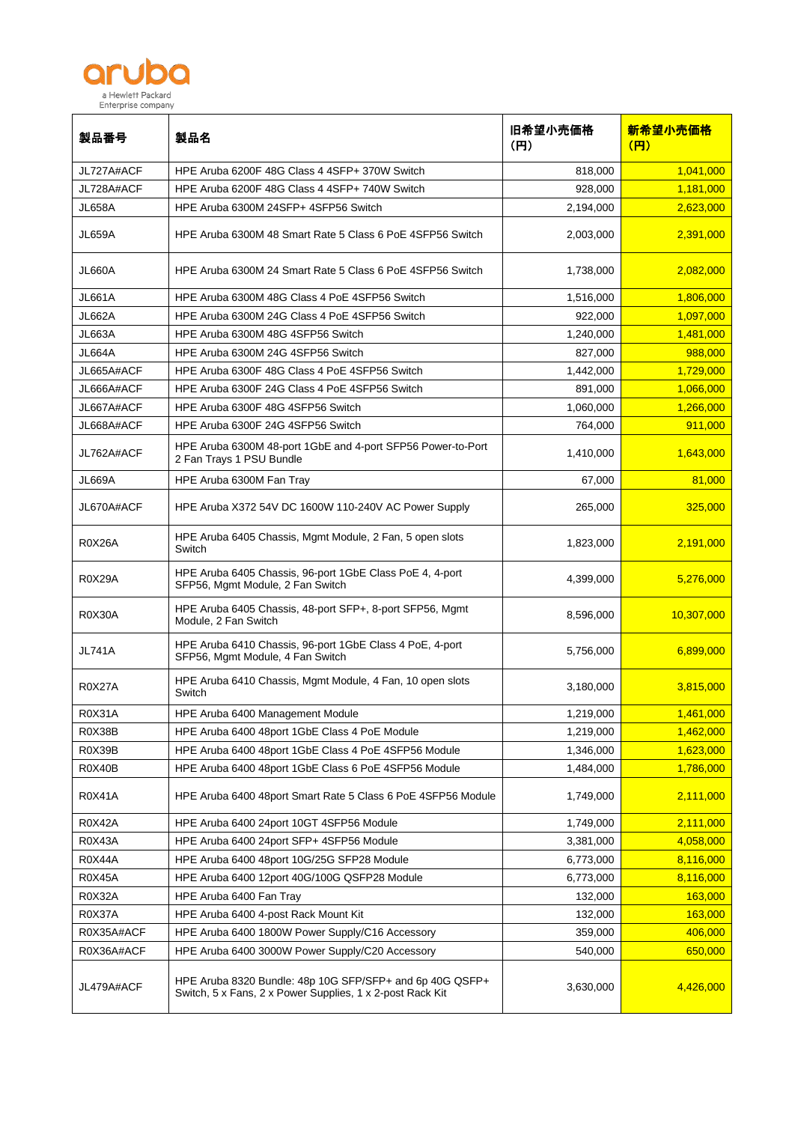

| 製品番号          | 製品名                                                                                                                   | 旧希望小売価格<br>(H) | 新希望小売価格<br>(円) |
|---------------|-----------------------------------------------------------------------------------------------------------------------|----------------|----------------|
| JL727A#ACF    | HPE Aruba 6200F 48G Class 4 4SFP+ 370W Switch                                                                         | 818,000        | 1,041,000      |
| JL728A#ACF    | HPE Aruba 6200F 48G Class 4 4SFP+ 740W Switch                                                                         | 928,000        | 1,181,000      |
| <b>JL658A</b> | HPE Aruba 6300M 24SFP+ 4SFP56 Switch                                                                                  | 2,194,000      | 2,623,000      |
| <b>JL659A</b> | HPE Aruba 6300M 48 Smart Rate 5 Class 6 PoE 4SFP56 Switch                                                             | 2,003,000      | 2,391,000      |
| <b>JL660A</b> | HPE Aruba 6300M 24 Smart Rate 5 Class 6 PoE 4SFP56 Switch                                                             | 1,738,000      | 2,082,000      |
| <b>JL661A</b> | HPE Aruba 6300M 48G Class 4 PoE 4SFP56 Switch                                                                         | 1,516,000      | 1,806,000      |
| <b>JL662A</b> | HPE Aruba 6300M 24G Class 4 PoE 4SFP56 Switch                                                                         | 922,000        | 1,097,000      |
| JL663A        | HPE Aruba 6300M 48G 4SFP56 Switch                                                                                     | 1,240,000      | 1,481,000      |
| <b>JL664A</b> | HPE Aruba 6300M 24G 4SFP56 Switch                                                                                     | 827,000        | 988,000        |
| JL665A#ACF    | HPE Aruba 6300F 48G Class 4 PoE 4SFP56 Switch                                                                         | 1,442,000      | 1,729,000      |
| JL666A#ACF    | HPE Aruba 6300F 24G Class 4 PoE 4SFP56 Switch                                                                         | 891,000        | 1,066,000      |
| JL667A#ACF    | HPE Aruba 6300F 48G 4SFP56 Switch                                                                                     | 1,060,000      | 1,266,000      |
| JL668A#ACF    | HPE Aruba 6300F 24G 4SFP56 Switch                                                                                     | 764.000        | 911,000        |
| JL762A#ACF    | HPE Aruba 6300M 48-port 1GbE and 4-port SFP56 Power-to-Port<br>2 Fan Trays 1 PSU Bundle                               | 1,410,000      | 1,643,000      |
| <b>JL669A</b> | HPE Aruba 6300M Fan Tray                                                                                              | 67,000         | 81,000         |
| JL670A#ACF    | HPE Aruba X372 54V DC 1600W 110-240V AC Power Supply                                                                  | 265,000        | 325,000        |
| R0X26A        | HPE Aruba 6405 Chassis, Mgmt Module, 2 Fan, 5 open slots<br>Switch                                                    | 1,823,000      | 2,191,000      |
| <b>R0X29A</b> | HPE Aruba 6405 Chassis, 96-port 1GbE Class PoE 4, 4-port<br>SFP56, Mgmt Module, 2 Fan Switch                          | 4,399,000      | 5,276,000      |
| <b>R0X30A</b> | HPE Aruba 6405 Chassis, 48-port SFP+, 8-port SFP56, Mgmt<br>Module, 2 Fan Switch                                      | 8,596,000      | 10,307,000     |
| <b>JL741A</b> | HPE Aruba 6410 Chassis, 96-port 1GbE Class 4 PoE, 4-port<br>SFP56, Mgmt Module, 4 Fan Switch                          | 5,756,000      | 6,899,000      |
| <b>R0X27A</b> | HPE Aruba 6410 Chassis, Mgmt Module, 4 Fan, 10 open slots<br>Switch                                                   | 3,180,000      | 3,815,000      |
| <b>R0X31A</b> | HPE Aruba 6400 Management Module                                                                                      | 1,219,000      | 1,461,000      |
| R0X38B        | HPE Aruba 6400 48port 1GbE Class 4 PoE Module                                                                         | 1,219,000      | 1,462,000      |
| R0X39B        | HPE Aruba 6400 48port 1GbE Class 4 PoE 4SFP56 Module                                                                  | 1,346,000      | 1,623,000      |
| <b>R0X40B</b> | HPE Aruba 6400 48port 1GbE Class 6 PoE 4SFP56 Module                                                                  | 1,484,000      | 1,786,000      |
| <b>R0X41A</b> | HPE Aruba 6400 48port Smart Rate 5 Class 6 PoE 4SFP56 Module                                                          | 1,749,000      | 2,111,000      |
| R0X42A        | HPE Aruba 6400 24port 10GT 4SFP56 Module                                                                              | 1,749,000      | 2,111,000      |
| <b>R0X43A</b> | HPE Aruba 6400 24port SFP+ 4SFP56 Module                                                                              | 3,381,000      | 4,058,000      |
| R0X44A        | HPE Aruba 6400 48port 10G/25G SFP28 Module                                                                            | 6,773,000      | 8,116,000      |
| <b>R0X45A</b> | HPE Aruba 6400 12port 40G/100G QSFP28 Module                                                                          | 6,773,000      | 8,116,000      |
| <b>R0X32A</b> | HPE Aruba 6400 Fan Tray                                                                                               | 132,000        | 163,000        |
| R0X37A        | HPE Aruba 6400 4-post Rack Mount Kit                                                                                  | 132,000        | 163,000        |
| R0X35A#ACF    | HPE Aruba 6400 1800W Power Supply/C16 Accessory                                                                       | 359,000        | 406,000        |
| R0X36A#ACF    | HPE Aruba 6400 3000W Power Supply/C20 Accessory                                                                       | 540,000        | 650,000        |
| JL479A#ACF    | HPE Aruba 8320 Bundle: 48p 10G SFP/SFP+ and 6p 40G QSFP+<br>Switch, 5 x Fans, 2 x Power Supplies, 1 x 2-post Rack Kit | 3,630,000      | 4,426,000      |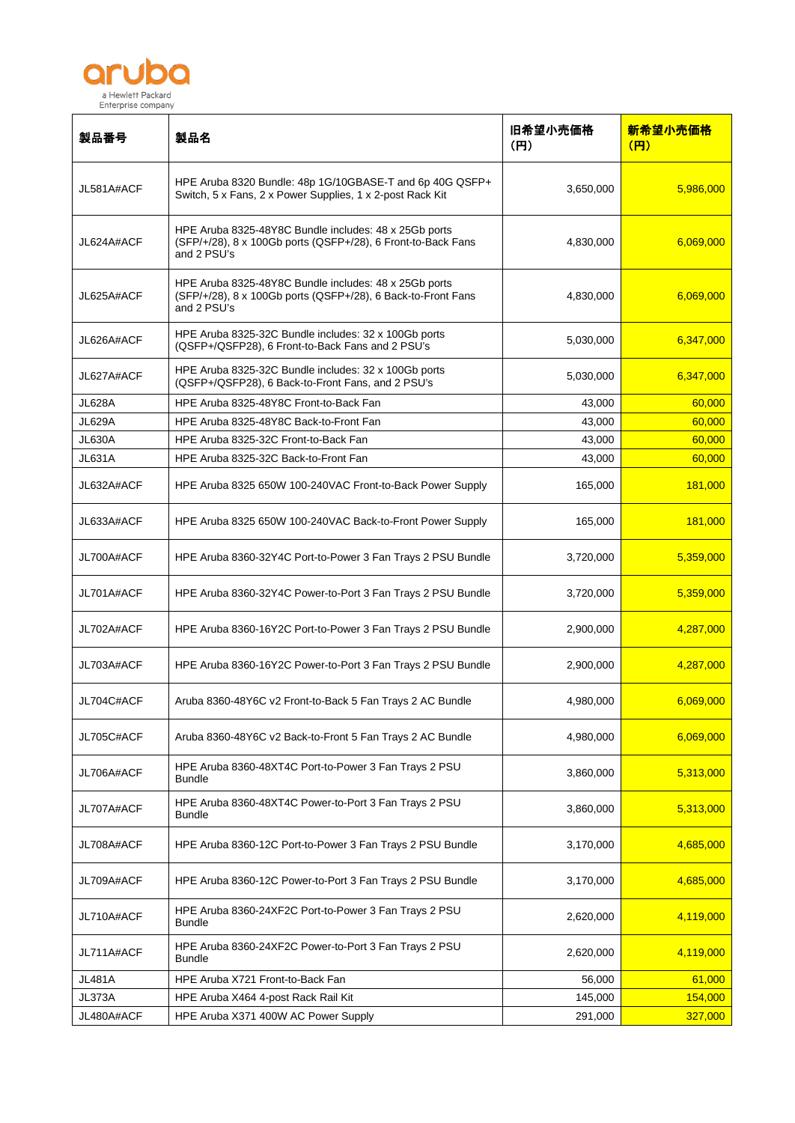

| 製品番号          | 製品名                                                                                                                                  | 旧希望小売価格<br>(H) | 新希望小売価格<br>(円) |
|---------------|--------------------------------------------------------------------------------------------------------------------------------------|----------------|----------------|
| JL581A#ACF    | HPE Aruba 8320 Bundle: 48p 1G/10GBASE-T and 6p 40G QSFP+<br>Switch, 5 x Fans, 2 x Power Supplies, 1 x 2-post Rack Kit                | 3,650,000      | 5,986,000      |
| JL624A#ACF    | HPE Aruba 8325-48Y8C Bundle includes: 48 x 25Gb ports<br>(SFP/+/28), 8 x 100Gb ports (QSFP+/28), 6 Front-to-Back Fans<br>and 2 PSU's | 4,830,000      | 6,069,000      |
| JL625A#ACF    | HPE Aruba 8325-48Y8C Bundle includes: 48 x 25Gb ports<br>(SFP/+/28), 8 x 100Gb ports (QSFP+/28), 6 Back-to-Front Fans<br>and 2 PSU's | 4,830,000      | 6,069,000      |
| JL626A#ACF    | HPE Aruba 8325-32C Bundle includes: 32 x 100Gb ports<br>(QSFP+/QSFP28), 6 Front-to-Back Fans and 2 PSU's                             | 5,030,000      | 6,347,000      |
| JL627A#ACF    | HPE Aruba 8325-32C Bundle includes: 32 x 100Gb ports<br>(QSFP+/QSFP28), 6 Back-to-Front Fans, and 2 PSU's                            | 5,030,000      | 6,347,000      |
| <b>JL628A</b> | HPE Aruba 8325-48Y8C Front-to-Back Fan                                                                                               | 43,000         | 60,000         |
| <b>JL629A</b> | HPE Aruba 8325-48Y8C Back-to-Front Fan                                                                                               | 43,000         | 60,000         |
| <b>JL630A</b> | HPE Aruba 8325-32C Front-to-Back Fan                                                                                                 | 43,000         | 60,000         |
| JL631A        | HPE Aruba 8325-32C Back-to-Front Fan                                                                                                 | 43,000         | 60,000         |
| JL632A#ACF    | HPE Aruba 8325 650W 100-240VAC Front-to-Back Power Supply                                                                            | 165,000        | 181,000        |
| JL633A#ACF    | HPE Aruba 8325 650W 100-240VAC Back-to-Front Power Supply                                                                            | 165,000        | 181,000        |
| JL700A#ACF    | HPE Aruba 8360-32Y4C Port-to-Power 3 Fan Trays 2 PSU Bundle                                                                          | 3,720,000      | 5,359,000      |
| JL701A#ACF    | HPE Aruba 8360-32Y4C Power-to-Port 3 Fan Trays 2 PSU Bundle                                                                          | 3,720,000      | 5,359,000      |
| JL702A#ACF    | HPE Aruba 8360-16Y2C Port-to-Power 3 Fan Trays 2 PSU Bundle                                                                          | 2,900,000      | 4,287,000      |
| JL703A#ACF    | HPE Aruba 8360-16Y2C Power-to-Port 3 Fan Trays 2 PSU Bundle                                                                          | 2,900,000      | 4,287,000      |
| JL704C#ACF    | Aruba 8360-48Y6C v2 Front-to-Back 5 Fan Trays 2 AC Bundle                                                                            | 4,980,000      | 6,069,000      |
| JL705C#ACF    | Aruba 8360-48Y6C v2 Back-to-Front 5 Fan Trays 2 AC Bundle                                                                            | 4,980,000      | 6,069,000      |
| JL706A#ACF    | HPE Aruba 8360-48XT4C Port-to-Power 3 Fan Trays 2 PSU<br><b>Bundle</b>                                                               | 3,860,000      | 5,313,000      |
| JL707A#ACF    | HPE Aruba 8360-48XT4C Power-to-Port 3 Fan Trays 2 PSU<br><b>Bundle</b>                                                               | 3,860,000      | 5,313,000      |
| JL708A#ACF    | HPE Aruba 8360-12C Port-to-Power 3 Fan Trays 2 PSU Bundle                                                                            | 3,170,000      | 4,685,000      |
| JL709A#ACF    | HPE Aruba 8360-12C Power-to-Port 3 Fan Trays 2 PSU Bundle                                                                            | 3,170,000      | 4,685,000      |
| JL710A#ACF    | HPE Aruba 8360-24XF2C Port-to-Power 3 Fan Trays 2 PSU<br><b>Bundle</b>                                                               | 2,620,000      | 4,119,000      |
| JL711A#ACF    | HPE Aruba 8360-24XF2C Power-to-Port 3 Fan Trays 2 PSU<br><b>Bundle</b>                                                               | 2,620,000      | 4,119,000      |
| JL481A        | HPE Aruba X721 Front-to-Back Fan                                                                                                     | 56,000         | 61,000         |
| JL373A        | HPE Aruba X464 4-post Rack Rail Kit                                                                                                  | 145,000        | 154,000        |
| JL480A#ACF    | HPE Aruba X371 400W AC Power Supply                                                                                                  | 291,000        | 327,000        |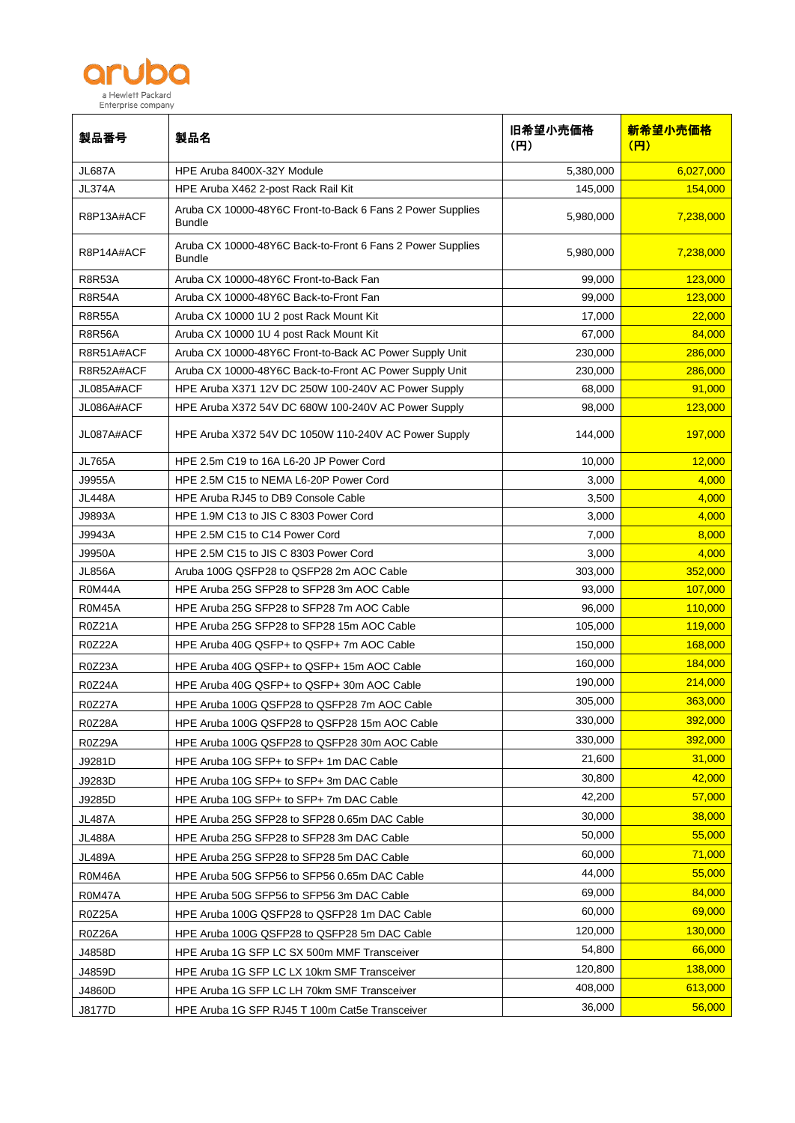

| 製品番号          | 製品名                                                                         | 旧希望小売価格<br>(H) | 新希望小売価格<br>(H) |
|---------------|-----------------------------------------------------------------------------|----------------|----------------|
| <b>JL687A</b> | HPE Aruba 8400X-32Y Module                                                  | 5,380,000      | 6,027,000      |
| <b>JL374A</b> | HPE Aruba X462 2-post Rack Rail Kit                                         | 145,000        | 154,000        |
| R8P13A#ACF    | Aruba CX 10000-48Y6C Front-to-Back 6 Fans 2 Power Supplies<br><b>Bundle</b> | 5,980,000      | 7,238,000      |
| R8P14A#ACF    | Aruba CX 10000-48Y6C Back-to-Front 6 Fans 2 Power Supplies<br><b>Bundle</b> | 5,980,000      | 7,238,000      |
| <b>R8R53A</b> | Aruba CX 10000-48Y6C Front-to-Back Fan                                      | 99,000         | 123,000        |
| <b>R8R54A</b> | Aruba CX 10000-48Y6C Back-to-Front Fan                                      | 99,000         | 123,000        |
| <b>R8R55A</b> | Aruba CX 10000 1U 2 post Rack Mount Kit                                     | 17,000         | 22,000         |
| <b>R8R56A</b> | Aruba CX 10000 1U 4 post Rack Mount Kit                                     | 67,000         | 84,000         |
| R8R51A#ACF    | Aruba CX 10000-48Y6C Front-to-Back AC Power Supply Unit                     | 230,000        | 286,000        |
| R8R52A#ACF    | Aruba CX 10000-48Y6C Back-to-Front AC Power Supply Unit                     | 230,000        | 286,000        |
| JL085A#ACF    | HPE Aruba X371 12V DC 250W 100-240V AC Power Supply                         | 68,000         | 91,000         |
| JL086A#ACF    | HPE Aruba X372 54V DC 680W 100-240V AC Power Supply                         | 98,000         | 123,000        |
| JL087A#ACF    | HPE Aruba X372 54V DC 1050W 110-240V AC Power Supply                        | 144,000        | 197,000        |
| <b>JL765A</b> | HPE 2.5m C19 to 16A L6-20 JP Power Cord                                     | 10,000         | 12,000         |
| J9955A        | HPE 2.5M C15 to NEMA L6-20P Power Cord                                      | 3,000          | 4,000          |
| <b>JL448A</b> | HPE Aruba RJ45 to DB9 Console Cable                                         | 3,500          | 4,000          |
| J9893A        | HPE 1.9M C13 to JIS C 8303 Power Cord                                       | 3,000          | 4,000          |
| J9943A        | HPE 2.5M C15 to C14 Power Cord                                              | 7,000          | 8,000          |
| J9950A        | HPE 2.5M C15 to JIS C 8303 Power Cord                                       | 3,000          | 4,000          |
| <b>JL856A</b> | Aruba 100G QSFP28 to QSFP28 2m AOC Cable                                    | 303,000        | 352,000        |
| R0M44A        | HPE Aruba 25G SFP28 to SFP28 3m AOC Cable                                   | 93,000         | 107,000        |
| <b>R0M45A</b> | HPE Aruba 25G SFP28 to SFP28 7m AOC Cable                                   | 96,000         | 110,000        |
| <b>R0Z21A</b> | HPE Aruba 25G SFP28 to SFP28 15m AOC Cable                                  | 105,000        | 119,000        |
| <b>R0Z22A</b> | HPE Aruba 40G QSFP+ to QSFP+ 7m AOC Cable                                   | 150,000        | 168,000        |
| R0Z23A        | HPE Aruba 40G QSFP+ to QSFP+ 15m AOC Cable                                  | 160,000        | 184,000        |
| <b>R0Z24A</b> | HPE Aruba 40G QSFP+ to QSFP+ 30m AOC Cable                                  | 190,000        | 214,000        |
| R0Z27A        | HPE Aruba 100G QSFP28 to QSFP28 7m AOC Cable                                | 305,000        | 363,000        |
| R0Z28A        | HPE Aruba 100G QSFP28 to QSFP28 15m AOC Cable                               | 330,000        | 392,000        |
| R0Z29A        | HPE Aruba 100G QSFP28 to QSFP28 30m AOC Cable                               | 330,000        | 392,000        |
| J9281D        | HPE Aruba 10G SFP+ to SFP+ 1m DAC Cable                                     | 21,600         | 31,000         |
| J9283D        | HPE Aruba 10G SFP+ to SFP+ 3m DAC Cable                                     | 30,800         | 42,000         |
| J9285D        | HPE Aruba 10G SFP+ to SFP+ 7m DAC Cable                                     | 42,200         | 57,000         |
| <b>JL487A</b> | HPE Aruba 25G SFP28 to SFP28 0.65m DAC Cable                                | 30,000         | 38,000         |
| <b>JL488A</b> | HPE Aruba 25G SFP28 to SFP28 3m DAC Cable                                   | 50,000         | 55,000         |
| <b>JL489A</b> | HPE Aruba 25G SFP28 to SFP28 5m DAC Cable                                   | 60,000         | 71,000         |
| R0M46A        | HPE Aruba 50G SFP56 to SFP56 0.65m DAC Cable                                | 44,000         | 55,000         |
| R0M47A        | HPE Aruba 50G SFP56 to SFP56 3m DAC Cable                                   | 69,000         | 84,000         |
| <b>R0Z25A</b> | HPE Aruba 100G QSFP28 to QSFP28 1m DAC Cable                                | 60,000         | 69,000         |
|               |                                                                             | 120,000        | 130,000        |
| R0Z26A        | HPE Aruba 100G QSFP28 to QSFP28 5m DAC Cable                                | 54,800         | 66,000         |
| J4858D        | HPE Aruba 1G SFP LC SX 500m MMF Transceiver                                 | 120,800        | 138,000        |
| J4859D        | HPE Aruba 1G SFP LC LX 10km SMF Transceiver                                 | 408,000        | 613,000        |
| J4860D        | HPE Aruba 1G SFP LC LH 70km SMF Transceiver                                 |                | 56,000         |
| J8177D        | HPE Aruba 1G SFP RJ45 T 100m Cat5e Transceiver                              | 36,000         |                |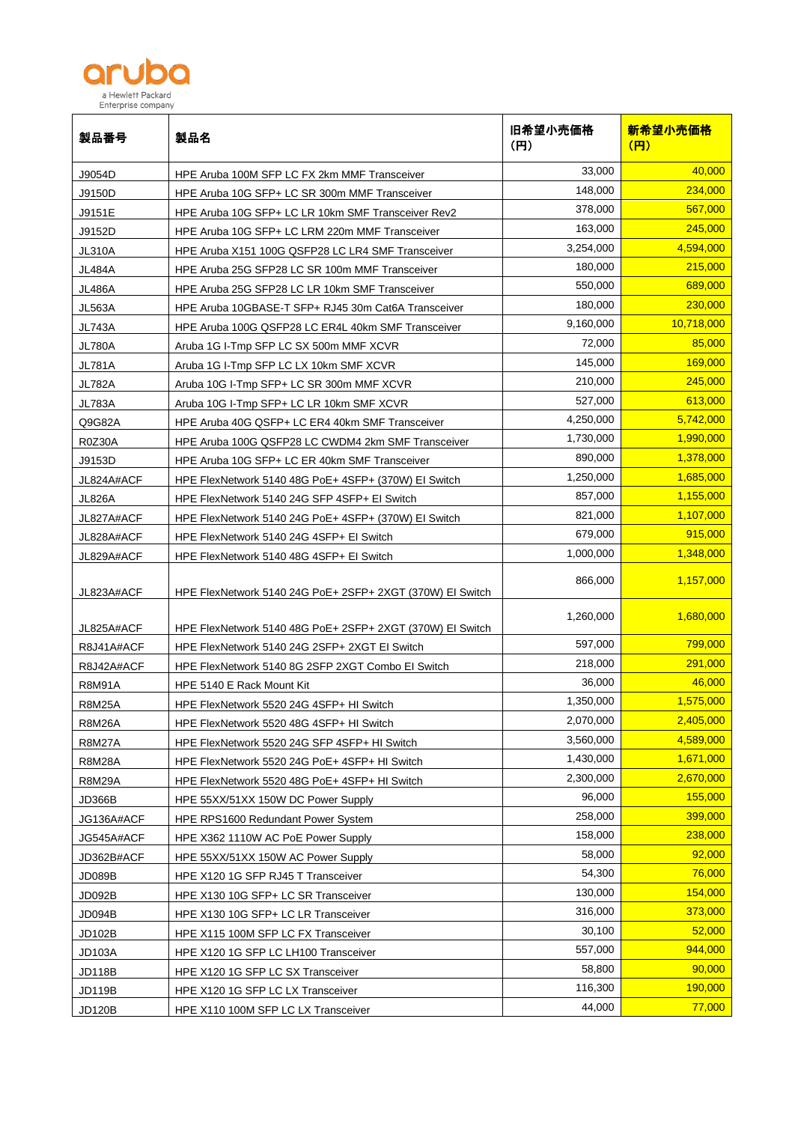

| 製品番号          | 製品名                                                       | 旧希望小売価格<br>(H) | 新希望小売価格<br>(円) |
|---------------|-----------------------------------------------------------|----------------|----------------|
| J9054D        | HPE Aruba 100M SFP LC FX 2km MMF Transceiver              | 33,000         | 40,000         |
| J9150D        | HPE Aruba 10G SFP+ LC SR 300m MMF Transceiver             | 148,000        | 234,000        |
| J9151E        | HPE Aruba 10G SFP+ LC LR 10km SMF Transceiver Rev2        | 378,000        | 567,000        |
| J9152D        | HPE Aruba 10G SFP+ LC LRM 220m MMF Transceiver            | 163,000        | 245,000        |
| <b>JL310A</b> | HPE Aruba X151 100G QSFP28 LC LR4 SMF Transceiver         | 3,254,000      | 4,594,000      |
| <b>JL484A</b> | HPE Aruba 25G SFP28 LC SR 100m MMF Transceiver            | 180,000        | 215,000        |
| <b>JL486A</b> | HPE Aruba 25G SFP28 LC LR 10km SMF Transceiver            | 550.000        | 689,000        |
| <b>JL563A</b> | HPE Aruba 10GBASE-T SFP+ RJ45 30m Cat6A Transceiver       | 180,000        | 230,000        |
| <b>JL743A</b> | HPE Aruba 100G QSFP28 LC ER4L 40km SMF Transceiver        | 9,160,000      | 10,718,000     |
| <b>JL780A</b> | Aruba 1G I-Tmp SFP LC SX 500m MMF XCVR                    | 72,000         | 85,000         |
| <b>JL781A</b> | Aruba 1G I-Tmp SFP LC LX 10km SMF XCVR                    | 145,000        | 169,000        |
| <b>JL782A</b> | Aruba 10G I-Tmp SFP+ LC SR 300m MMF XCVR                  | 210,000        | 245,000        |
| <b>JL783A</b> | Aruba 10G I-Tmp SFP+ LC LR 10km SMF XCVR                  | 527,000        | 613,000        |
| Q9G82A        | HPE Aruba 40G QSFP+ LC ER4 40km SMF Transceiver           | 4,250,000      | 5,742,000      |
| <b>R0Z30A</b> | HPE Aruba 100G QSFP28 LC CWDM4 2km SMF Transceiver        | 1,730,000      | 1,990,000      |
| J9153D        | HPE Aruba 10G SFP+ LC ER 40km SMF Transceiver             | 890,000        | 1,378,000      |
| JL824A#ACF    | HPE FlexNetwork 5140 48G PoE+ 4SFP+ (370W) EI Switch      | 1,250,000      | 1,685,000      |
| <b>JL826A</b> | HPE FlexNetwork 5140 24G SFP 4SFP+ EI Switch              | 857,000        | 1,155,000      |
| JL827A#ACF    | HPE FlexNetwork 5140 24G PoE+ 4SFP+ (370W) EI Switch      | 821,000        | 1,107,000      |
| JL828A#ACF    | HPE FlexNetwork 5140 24G 4SFP+ El Switch                  | 679,000        | 915,000        |
| JL829A#ACF    | HPE FlexNetwork 5140 48G 4SFP+ EI Switch                  | 1,000,000      | 1,348,000      |
| JL823A#ACF    | HPE FlexNetwork 5140 24G PoE+ 2SFP+ 2XGT (370W) EI Switch | 866,000        | 1,157,000      |
| JL825A#ACF    | HPE FlexNetwork 5140 48G PoE+ 2SFP+ 2XGT (370W) EI Switch | 1,260,000      | 1,680,000      |
| R8J41A#ACF    | HPE FlexNetwork 5140 24G 2SFP+ 2XGT EI Switch             | 597,000        | 799,000        |
| R8J42A#ACF    | HPE FlexNetwork 5140 8G 2SFP 2XGT Combo El Switch         | 218,000        | 291,000        |
| <b>R8M91A</b> | HPE 5140 E Rack Mount Kit                                 | 36,000         | 46,000         |
| R8M25A        | HPE FlexNetwork 5520 24G 4SFP+ HI Switch                  | 1,350,000      | 1,575,000      |
| <b>R8M26A</b> | HPE FlexNetwork 5520 48G 4SFP+ HI Switch                  | 2,070,000      | 2,405,000      |
| <b>R8M27A</b> | HPE FlexNetwork 5520 24G SFP 4SFP+ HI Switch              | 3,560,000      | 4,589,000      |
| <b>R8M28A</b> | HPE FlexNetwork 5520 24G PoE+ 4SFP+ HI Switch             | 1,430,000      | 1,671,000      |
| <b>R8M29A</b> | HPE FlexNetwork 5520 48G PoE+ 4SFP+ HI Switch             | 2,300,000      | 2,670,000      |
| <b>JD366B</b> | HPE 55XX/51XX 150W DC Power Supply                        | 96,000         | 155,000        |
| JG136A#ACF    | HPE RPS1600 Redundant Power System                        | 258,000        | 399,000        |
| JG545A#ACF    | HPE X362 1110W AC PoE Power Supply                        | 158,000        | 238,000        |
| JD362B#ACF    | HPE 55XX/51XX 150W AC Power Supply                        | 58,000         | 92,000         |
| JD089B        | HPE X120 1G SFP RJ45 T Transceiver                        | 54,300         | 76,000         |
| JD092B        | HPE X130 10G SFP+ LC SR Transceiver                       | 130,000        | 154,000        |
| JD094B        | HPE X130 10G SFP+ LC LR Transceiver                       | 316,000        | 373,000        |
| JD102B        | HPE X115 100M SFP LC FX Transceiver                       | 30,100         | 52,000         |
| <b>JD103A</b> | HPE X120 1G SFP LC LH100 Transceiver                      | 557,000        | 944,000        |
| <b>JD118B</b> | HPE X120 1G SFP LC SX Transceiver                         | 58,800         | 90,000         |
| <b>JD119B</b> | HPE X120 1G SFP LC LX Transceiver                         | 116,300        | 190,000        |
| JD120B        | HPE X110 100M SFP LC LX Transceiver                       | 44,000         | 77,000         |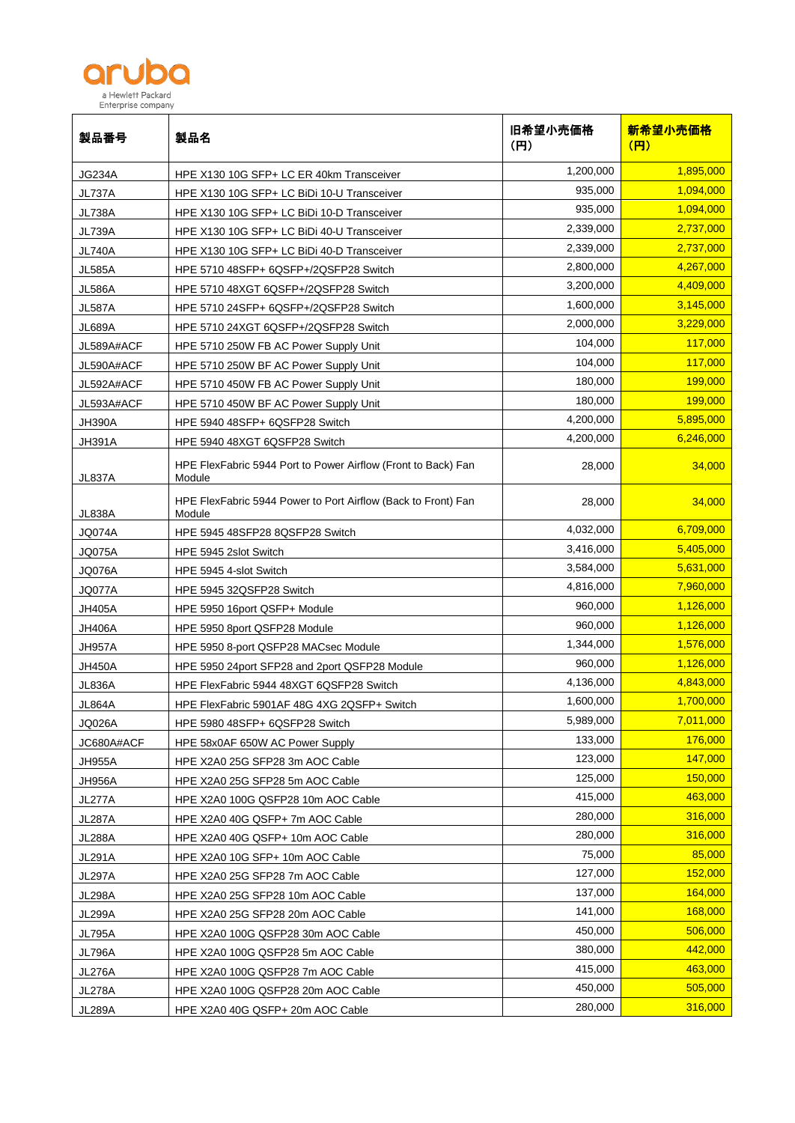

| 製品番号          | 製品名                                                                     | 旧希望小売価格<br>(H) | 新希望小売価格<br>(円) |
|---------------|-------------------------------------------------------------------------|----------------|----------------|
| JG234A        | HPE X130 10G SFP+ LC ER 40km Transceiver                                | 1,200,000      | 1,895,000      |
| <b>JL737A</b> | HPE X130 10G SFP+ LC BiDi 10-U Transceiver                              | 935,000        | 1,094,000      |
| JL738A        | HPE X130 10G SFP+ LC BiDi 10-D Transceiver                              | 935.000        | 1,094,000      |
| JL739A        | HPE X130 10G SFP+ LC BiDi 40-U Transceiver                              | 2,339,000      | 2,737,000      |
| JL740A        | HPE X130 10G SFP+ LC BiDi 40-D Transceiver                              | 2,339,000      | 2,737,000      |
| JL585A        | HPE 5710 48SFP+ 6QSFP+/2QSFP28 Switch                                   | 2,800,000      | 4,267,000      |
| <b>JL586A</b> | HPE 5710 48XGT 6QSFP+/2QSFP28 Switch                                    | 3,200,000      | 4,409,000      |
| JL587A        | HPE 5710 24SFP+ 6QSFP+/2QSFP28 Switch                                   | 1,600,000      | 3,145,000      |
| JL689A        | HPE 5710 24XGT 6QSFP+/2QSFP28 Switch                                    | 2,000,000      | 3,229,000      |
| JL589A#ACF    | HPE 5710 250W FB AC Power Supply Unit                                   | 104,000        | 117,000        |
| JL590A#ACF    | HPE 5710 250W BF AC Power Supply Unit                                   | 104,000        | 117,000        |
| JL592A#ACF    | HPE 5710 450W FB AC Power Supply Unit                                   | 180,000        | 199,000        |
| JL593A#ACF    | HPE 5710 450W BF AC Power Supply Unit                                   | 180,000        | 199,000        |
| <b>JH390A</b> | HPE 5940 48SFP+ 6QSFP28 Switch                                          | 4,200,000      | 5,895,000      |
| <b>JH391A</b> | HPE 5940 48XGT 6QSFP28 Switch                                           | 4,200,000      | 6,246,000      |
| <b>JL837A</b> | HPE FlexFabric 5944 Port to Power Airflow (Front to Back) Fan<br>Module | 28,000         | 34,000         |
| <b>JL838A</b> | HPE FlexFabric 5944 Power to Port Airflow (Back to Front) Fan<br>Module | 28,000         | 34,000         |
| <b>JQ074A</b> | HPE 5945 48SFP28 8QSFP28 Switch                                         | 4,032,000      | 6,709,000      |
| JQ075A        | HPE 5945 2slot Switch                                                   | 3,416,000      | 5,405,000      |
| JQ076A        | HPE 5945 4-slot Switch                                                  | 3,584,000      | 5,631,000      |
| JQ077A        | HPE 5945 32QSFP28 Switch                                                | 4,816,000      | 7,960,000      |
| JH405A        | HPE 5950 16port QSFP+ Module                                            | 960,000        | 1,126,000      |
| JH406A        | HPE 5950 8port QSFP28 Module                                            | 960,000        | 1,126,000      |
| JH957A        | HPE 5950 8-port QSFP28 MACsec Module                                    | 1,344,000      | 1,576,000      |
| JH450A        | HPE 5950 24port SFP28 and 2port QSFP28 Module                           | 960,000        | 1,126,000      |
| <b>JL836A</b> | HPE FlexFabric 5944 48XGT 6QSFP28 Switch                                | 4,136,000      | 4,843,000      |
| <b>JL864A</b> | HPE FlexFabric 5901AF 48G 4XG 2QSFP+ Switch                             | 1,600,000      | 1,700,000      |
| <b>JQ026A</b> | HPE 5980 48SFP+ 6QSFP28 Switch                                          | 5,989,000      | 7,011,000      |
| JC680A#ACF    | HPE 58x0AF 650W AC Power Supply                                         | 133,000        | 176,000        |
| <b>JH955A</b> | HPE X2A0 25G SFP28 3m AOC Cable                                         | 123,000        | 147,000        |
| <b>JH956A</b> | HPE X2A0 25G SFP28 5m AOC Cable                                         | 125,000        | 150,000        |
| <b>JL277A</b> | HPE X2A0 100G QSFP28 10m AOC Cable                                      | 415,000        | 463,000        |
| <b>JL287A</b> | HPE X2A0 40G QSFP+7m AOC Cable                                          | 280,000        | 316,000        |
| <b>JL288A</b> | HPE X2A0 40G QSFP+ 10m AOC Cable                                        | 280,000        | 316,000        |
| <b>JL291A</b> | HPE X2A0 10G SFP+ 10m AOC Cable                                         | 75,000         | 85,000         |
| <b>JL297A</b> | HPE X2A0 25G SFP28 7m AOC Cable                                         | 127,000        | 152,000        |
| <b>JL298A</b> | HPE X2A0 25G SFP28 10m AOC Cable                                        | 137,000        | 164,000        |
| <b>JL299A</b> | HPE X2A0 25G SFP28 20m AOC Cable                                        | 141,000        | 168,000        |
| <b>JL795A</b> | HPE X2A0 100G QSFP28 30m AOC Cable                                      | 450,000        | 506,000        |
| <b>JL796A</b> | HPE X2A0 100G QSFP28 5m AOC Cable                                       | 380,000        | 442,000        |
| <b>JL276A</b> | HPE X2A0 100G QSFP28 7m AOC Cable                                       | 415,000        | 463,000        |
| <b>JL278A</b> | HPE X2A0 100G QSFP28 20m AOC Cable                                      | 450,000        | 505,000        |
| <b>JL289A</b> | HPE X2A0 40G QSFP+ 20m AOC Cable                                        | 280,000        | 316,000        |